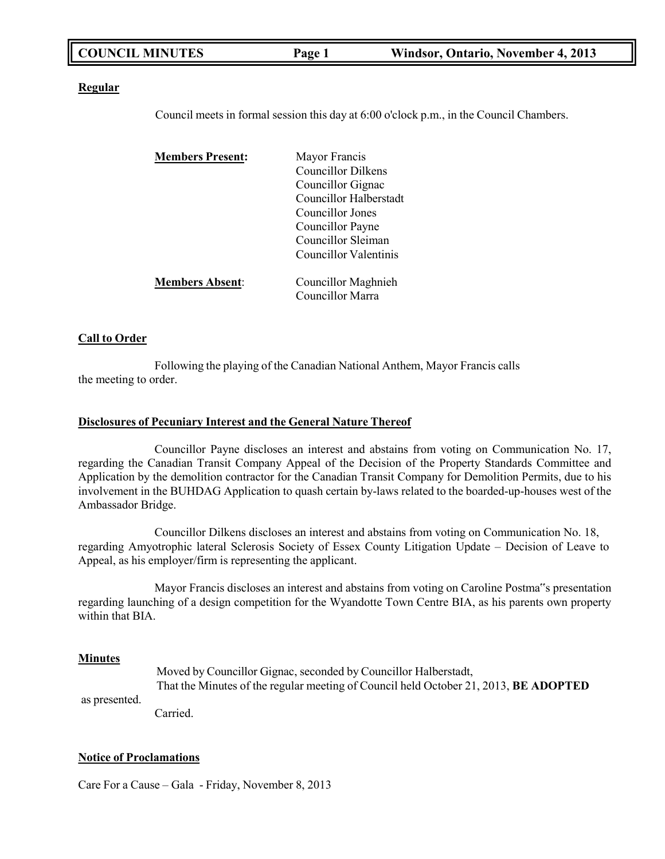| <b>COUNCIL MINUTES</b><br>Windsor, Ontario, November 4, 2013<br>Page 1 |
|------------------------------------------------------------------------|
|------------------------------------------------------------------------|

### **Regular**

Council meets in formal session this day at 6:00 o'clock p.m., in the Council Chambers.

| <b>Members Present:</b> | Mayor Francis          |  |
|-------------------------|------------------------|--|
|                         | Councillor Dilkens     |  |
|                         | Councillor Gignac      |  |
|                         | Councillor Halberstadt |  |
|                         | Councillor Jones       |  |
|                         | Councillor Payne       |  |
|                         | Councillor Sleiman     |  |
|                         | Councillor Valentinis  |  |
| <b>Members Absent:</b>  | Councillor Maghnieh    |  |
|                         | Councillor Marra       |  |

### **Call to Order**

Following the playing of the Canadian National Anthem, Mayor Francis calls the meeting to order.

### **Disclosures of Pecuniary Interest and the General Nature Thereof**

Councillor Payne discloses an interest and abstains from voting on Communication No. 17, regarding the Canadian Transit Company Appeal of the Decision of the Property Standards Committee and Application by the demolition contractor for the Canadian Transit Company for Demolition Permits, due to his involvement in the BUHDAG Application to quash certain by-laws related to the boarded-up-houses west of the Ambassador Bridge.

Councillor Dilkens discloses an interest and abstains from voting on Communication No. 18, regarding Amyotrophic lateral Sclerosis Society of Essex County Litigation Update – Decision of Leave to Appeal, as his employer/firm is representing the applicant.

Mayor Francis discloses an interest and abstains from voting on Caroline Postma"s presentation regarding launching of a design competition for the Wyandotte Town Centre BIA, as his parents own property within that BIA.

### **Minutes**

as presented.

Moved by Councillor Gignac, seconded by Councillor Halberstadt, That the Minutes of the regular meeting of Council held October 21, 2013, **BE ADOPTED**

Carried.

### **Notice of Proclamations**

Care For a Cause – Gala - Friday, November 8, 2013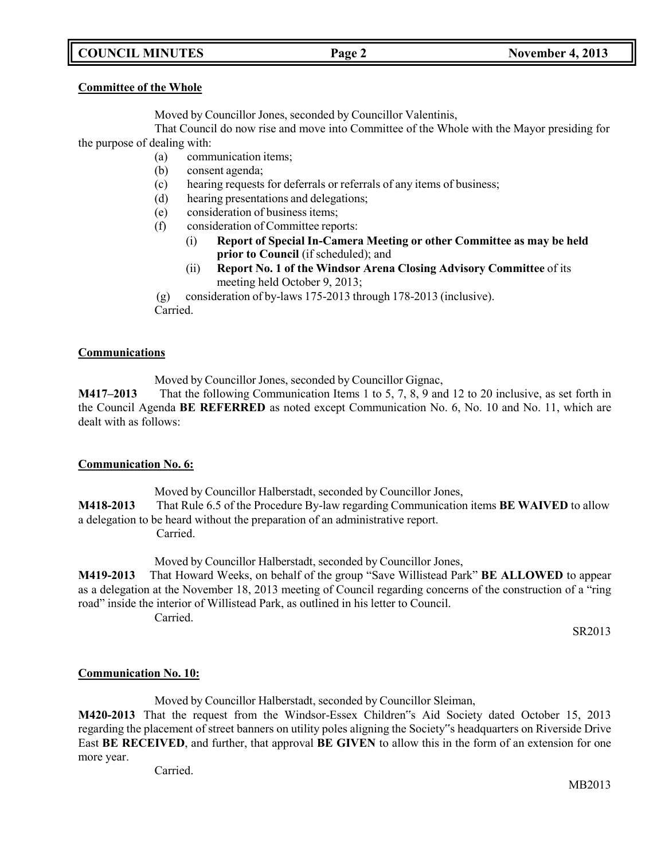## **COUNCIL MINUTES Page 2 November 4, 2013**

### **Committee of the Whole**

Moved by Councillor Jones, seconded by Councillor Valentinis,

That Council do now rise and move into Committee of the Whole with the Mayor presiding for the purpose of dealing with:

- (a) communication items;
- (b) consent agenda;
- (c) hearing requests for deferrals or referrals of any items of business;
- (d) hearing presentations and delegations;
- (e) consideration of business items;
- (f) consideration of Committee reports:
	- (i) **Report of Special In-Camera Meeting or other Committee as may be held prior to Council** (if scheduled); and
	- (ii) **Report No. 1 of the Windsor Arena Closing Advisory Committee** of its meeting held October 9, 2013;

(g) consideration of by-laws 175-2013 through 178-2013 (inclusive). Carried.

### **Communications**

Moved by Councillor Jones, seconded by Councillor Gignac,

**M417–2013** That the following Communication Items 1 to 5, 7, 8, 9 and 12 to 20 inclusive, as set forth in the Council Agenda **BE REFERRED** as noted except Communication No. 6, No. 10 and No. 11, which are dealt with as follows:

### **Communication No. 6:**

Moved by Councillor Halberstadt, seconded by Councillor Jones,

**M418-2013** That Rule 6.5 of the Procedure By-law regarding Communication items **BE WAIVED** to allow a delegation to be heard without the preparation of an administrative report.

Carried.

Moved by Councillor Halberstadt, seconded by Councillor Jones,

**M419-2013** That Howard Weeks, on behalf of the group "Save Willistead Park" **BE ALLOWED** to appear as a delegation at the November 18, 2013 meeting of Council regarding concerns of the construction of a "ring road" inside the interior of Willistead Park, as outlined in his letter to Council. Carried.

SR2013

## **Communication No. 10:**

Moved by Councillor Halberstadt, seconded by Councillor Sleiman,

**M420-2013** That the request from the Windsor-Essex Children"s Aid Society dated October 15, 2013 regarding the placement of street banners on utility poles aligning the Society"s headquarters on Riverside Drive East **BE RECEIVED**, and further, that approval **BE GIVEN** to allow this in the form of an extension for one more year.

Carried.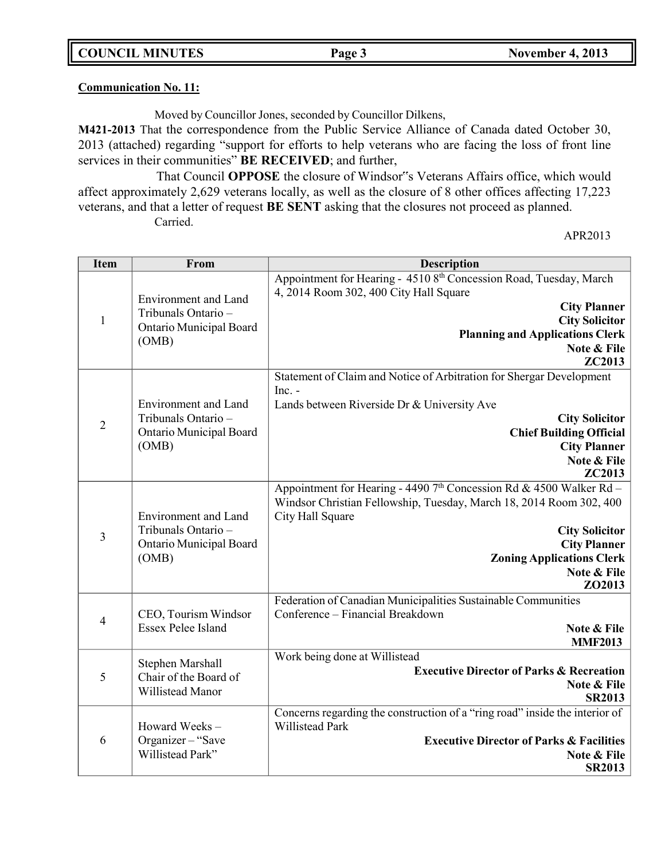**Communication No. 11:**

Moved by Councillor Jones, seconded by Councillor Dilkens,

**M421-2013** That the correspondence from the Public Service Alliance of Canada dated October 30, 2013 (attached) regarding "support for efforts to help veterans who are facing the loss of front line services in their communities" **BE RECEIVED**; and further,

That Council **OPPOSE** the closure of Windsor"s Veterans Affairs office, which would affect approximately 2,629 veterans locally, as well as the closure of 8 other offices affecting 17,223 veterans, and that a letter of request **BE SENT** asking that the closures not proceed as planned. Carried.

APR2013

| <b>Item</b>    | From                                        | <b>Description</b>                                                                                |
|----------------|---------------------------------------------|---------------------------------------------------------------------------------------------------|
|                |                                             | Appointment for Hearing - 4510 8 <sup>th</sup> Concession Road, Tuesday, March                    |
|                | <b>Environment</b> and Land                 | 4, 2014 Room 302, 400 City Hall Square                                                            |
| $\mathbf{1}$   | Tribunals Ontario -                         | <b>City Planner</b><br><b>City Solicitor</b>                                                      |
|                | Ontario Municipal Board                     | <b>Planning and Applications Clerk</b>                                                            |
|                | (OMB)                                       | Note & File                                                                                       |
|                |                                             | ZC2013                                                                                            |
|                |                                             | Statement of Claim and Notice of Arbitration for Shergar Development<br>Inc. -                    |
|                | <b>Environment</b> and Land                 | Lands between Riverside Dr & University Ave                                                       |
| $\sqrt{2}$     | Tribunals Ontario -                         | <b>City Solicitor</b>                                                                             |
|                | <b>Ontario Municipal Board</b>              | <b>Chief Building Official</b>                                                                    |
|                | (OMB)                                       | <b>City Planner</b><br>Note & File                                                                |
|                |                                             | ZC2013                                                                                            |
|                |                                             | Appointment for Hearing - 4490 $7th$ Concession Rd & 4500 Walker Rd -                             |
|                |                                             | Windsor Christian Fellowship, Tuesday, March 18, 2014 Room 302, 400                               |
|                | Environment and Land<br>Tribunals Ontario - | City Hall Square                                                                                  |
| 3              | Ontario Municipal Board                     | <b>City Solicitor</b><br><b>City Planner</b>                                                      |
|                | (OMB)                                       | <b>Zoning Applications Clerk</b>                                                                  |
|                |                                             | Note & File                                                                                       |
|                |                                             | ZO2013                                                                                            |
|                | CEO, Tourism Windsor                        | Federation of Canadian Municipalities Sustainable Communities<br>Conference - Financial Breakdown |
| $\overline{4}$ | <b>Essex Pelee Island</b>                   | Note & File                                                                                       |
|                |                                             | <b>MMF2013</b>                                                                                    |
|                | Stephen Marshall                            | Work being done at Willistead                                                                     |
| 5              | Chair of the Board of                       | <b>Executive Director of Parks &amp; Recreation</b><br>Note & File                                |
|                | Willistead Manor                            | <b>SR2013</b>                                                                                     |
|                |                                             | Concerns regarding the construction of a "ring road" inside the interior of                       |
|                | Howard Weeks-                               | Willistead Park                                                                                   |
| 6              | Organizer-"Save<br>Willistead Park"         | <b>Executive Director of Parks &amp; Facilities</b><br>Note & File                                |
|                |                                             | <b>SR2013</b>                                                                                     |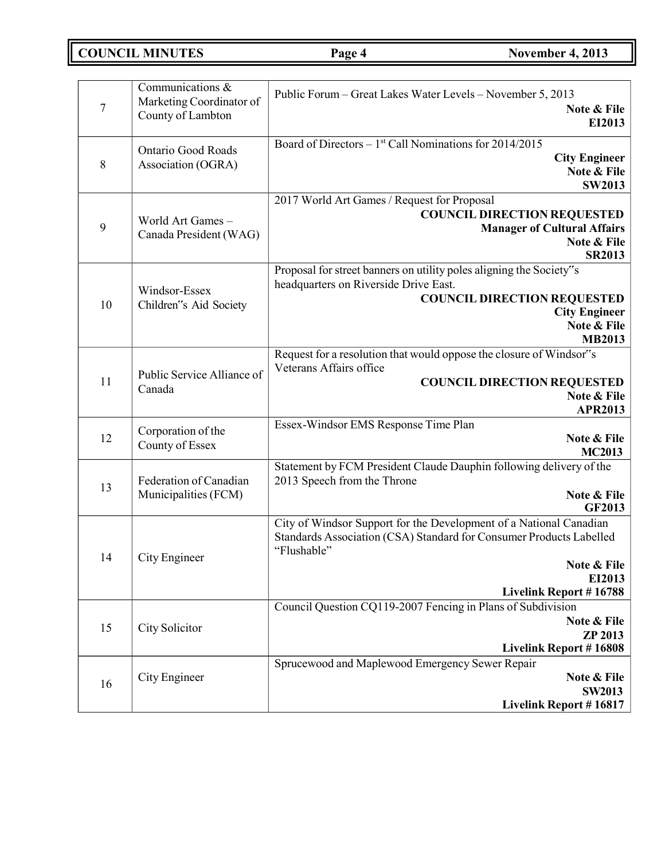**COUNCIL MINUTES Page 4 November 4, 2013**

| $\overline{7}$ | Communications $\overline{\mathcal{X}}$<br>Marketing Coordinator of<br>County of Lambton | Public Forum – Great Lakes Water Levels – November 5, 2013<br>Note & File<br>EI2013                                                                                                                                |
|----------------|------------------------------------------------------------------------------------------|--------------------------------------------------------------------------------------------------------------------------------------------------------------------------------------------------------------------|
| $\,8\,$        | <b>Ontario Good Roads</b><br>Association (OGRA)                                          | Board of Directors $-1st$ Call Nominations for 2014/2015<br><b>City Engineer</b><br>Note & File<br><b>SW2013</b>                                                                                                   |
| 9              | World Art Games-<br>Canada President (WAG)                                               | 2017 World Art Games / Request for Proposal<br><b>COUNCIL DIRECTION REQUESTED</b><br><b>Manager of Cultural Affairs</b><br>Note & File<br><b>SR2013</b>                                                            |
| 10             | Windsor-Essex<br>Children"s Aid Society                                                  | Proposal for street banners on utility poles aligning the Society"s<br>headquarters on Riverside Drive East.<br><b>COUNCIL DIRECTION REQUESTED</b><br><b>City Engineer</b><br>Note & File<br><b>MB2013</b>         |
| 11             | Public Service Alliance of<br>Canada                                                     | Request for a resolution that would oppose the closure of Windsor"s<br>Veterans Affairs office<br><b>COUNCIL DIRECTION REQUESTED</b><br>Note & File<br><b>APR2013</b>                                              |
| 12             | Corporation of the<br>County of Essex                                                    | Essex-Windsor EMS Response Time Plan<br>Note & File<br><b>MC2013</b>                                                                                                                                               |
| 13             | Federation of Canadian<br>Municipalities (FCM)                                           | Statement by FCM President Claude Dauphin following delivery of the<br>2013 Speech from the Throne<br>Note & File<br><b>GF2013</b>                                                                                 |
| 14             | City Engineer                                                                            | City of Windsor Support for the Development of a National Canadian<br>Standards Association (CSA) Standard for Consumer Products Labelled<br>"Flushable"<br>Note & File<br>EI2013<br><b>Livelink Report #16788</b> |
| 15             | City Solicitor                                                                           | Council Question CQ119-2007 Fencing in Plans of Subdivision<br>Note & File<br><b>ZP 2013</b><br><b>Livelink Report #16808</b>                                                                                      |
| 16             | City Engineer                                                                            | Sprucewood and Maplewood Emergency Sewer Repair<br>Note & File<br><b>SW2013</b><br>Livelink Report #16817                                                                                                          |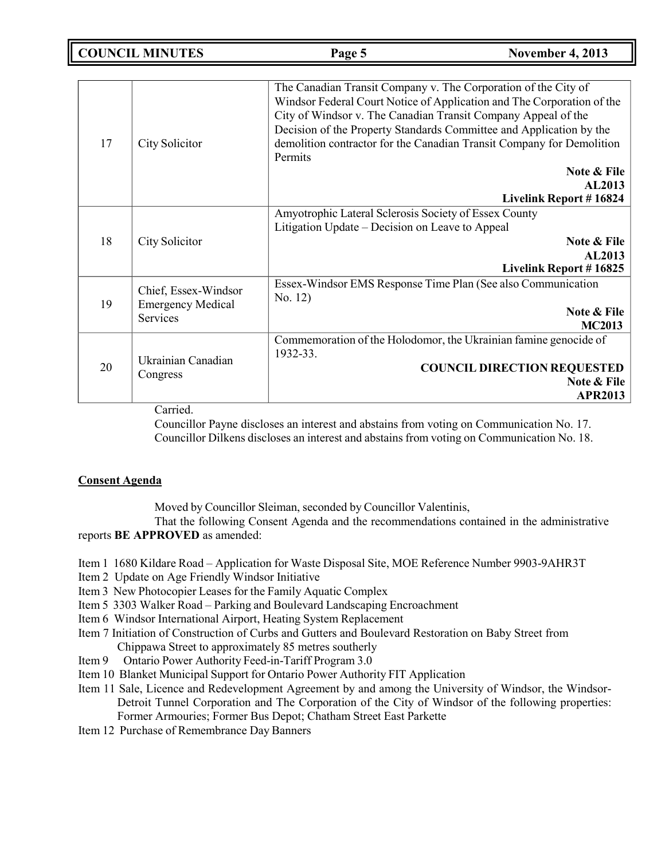**COUNCIL MINUTES Page 5 November 4, 2013**

| 17 | City Solicitor           | The Canadian Transit Company v. The Corporation of the City of<br>Windsor Federal Court Notice of Application and The Corporation of the<br>City of Windsor v. The Canadian Transit Company Appeal of the<br>Decision of the Property Standards Committee and Application by the<br>demolition contractor for the Canadian Transit Company for Demolition<br><b>Permits</b><br>Note & File<br><b>AL2013</b><br>Livelink Report #16824 |
|----|--------------------------|---------------------------------------------------------------------------------------------------------------------------------------------------------------------------------------------------------------------------------------------------------------------------------------------------------------------------------------------------------------------------------------------------------------------------------------|
|    |                          | Amyotrophic Lateral Sclerosis Society of Essex County                                                                                                                                                                                                                                                                                                                                                                                 |
|    |                          | Litigation Update – Decision on Leave to Appeal                                                                                                                                                                                                                                                                                                                                                                                       |
| 18 | City Solicitor           | Note & File                                                                                                                                                                                                                                                                                                                                                                                                                           |
|    |                          | <b>AL2013</b>                                                                                                                                                                                                                                                                                                                                                                                                                         |
|    |                          | Livelink Report #16825                                                                                                                                                                                                                                                                                                                                                                                                                |
|    | Chief, Essex-Windsor     | Essex-Windsor EMS Response Time Plan (See also Communication                                                                                                                                                                                                                                                                                                                                                                          |
| 19 | <b>Emergency Medical</b> | No. 12)                                                                                                                                                                                                                                                                                                                                                                                                                               |
|    | <b>Services</b>          | Note & File                                                                                                                                                                                                                                                                                                                                                                                                                           |
|    |                          | <b>MC2013</b>                                                                                                                                                                                                                                                                                                                                                                                                                         |
|    |                          | Commemoration of the Holodomor, the Ukrainian famine genocide of                                                                                                                                                                                                                                                                                                                                                                      |
|    | Ukrainian Canadian       | 1932-33.                                                                                                                                                                                                                                                                                                                                                                                                                              |
| 20 |                          | <b>COUNCIL DIRECTION REQUESTED</b>                                                                                                                                                                                                                                                                                                                                                                                                    |
|    | Congress                 | Note & File                                                                                                                                                                                                                                                                                                                                                                                                                           |
|    |                          | <b>APR2013</b>                                                                                                                                                                                                                                                                                                                                                                                                                        |

Carried.

Councillor Payne discloses an interest and abstains from voting on Communication No. 17. Councillor Dilkens discloses an interest and abstains from voting on Communication No. 18.

## **Consent Agenda**

Moved by Councillor Sleiman, seconded by Councillor Valentinis,

That the following Consent Agenda and the recommendations contained in the administrative reports **BE APPROVED** as amended:

- Item 1 1680 Kildare Road Application for Waste Disposal Site, MOE Reference Number 9903-9AHR3T
- Item 2 Update on Age Friendly Windsor Initiative
- Item 3 New Photocopier Leases for the Family Aquatic Complex
- Item 5 3303 Walker Road Parking and Boulevard Landscaping Encroachment
- Item 6 Windsor International Airport, Heating System Replacement
- Item 7 Initiation of Construction of Curbs and Gutters and Boulevard Restoration on Baby Street from Chippawa Street to approximately 85 metres southerly
- Item 9 Ontario Power Authority Feed-in-Tariff Program 3.0
- Item 10 Blanket Municipal Support for Ontario Power Authority FIT Application
- Item 11 Sale, Licence and Redevelopment Agreement by and among the University of Windsor, the Windsor-Detroit Tunnel Corporation and The Corporation of the City of Windsor of the following properties: Former Armouries; Former Bus Depot; Chatham Street East Parkette
- Item 12 Purchase of Remembrance Day Banners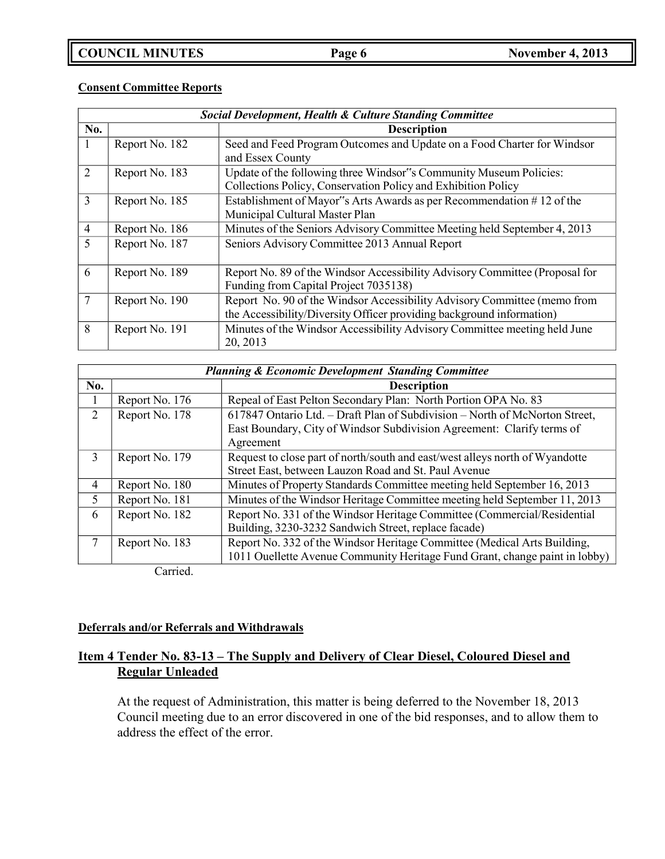## **Consent Committee Reports**

| <b>Social Development, Health &amp; Culture Standing Committee</b> |                |                                                                                                                                                   |
|--------------------------------------------------------------------|----------------|---------------------------------------------------------------------------------------------------------------------------------------------------|
| No.                                                                |                | <b>Description</b>                                                                                                                                |
|                                                                    | Report No. 182 | Seed and Feed Program Outcomes and Update on a Food Charter for Windsor<br>and Essex County                                                       |
| 2                                                                  | Report No. 183 | Update of the following three Windsor"s Community Museum Policies:<br>Collections Policy, Conservation Policy and Exhibition Policy               |
| 3                                                                  | Report No. 185 | Establishment of Mayor"s Arts Awards as per Recommendation #12 of the<br>Municipal Cultural Master Plan                                           |
| $\overline{4}$                                                     | Report No. 186 | Minutes of the Seniors Advisory Committee Meeting held September 4, 2013                                                                          |
| 5                                                                  | Report No. 187 | Seniors Advisory Committee 2013 Annual Report                                                                                                     |
| 6                                                                  | Report No. 189 | Report No. 89 of the Windsor Accessibility Advisory Committee (Proposal for<br>Funding from Capital Project 7035138)                              |
|                                                                    | Report No. 190 | Report No. 90 of the Windsor Accessibility Advisory Committee (memo from<br>the Accessibility/Diversity Officer providing background information) |
| 8                                                                  | Report No. 191 | Minutes of the Windsor Accessibility Advisory Committee meeting held June<br>20, 2013                                                             |

| <b>Planning &amp; Economic Development Standing Committee</b> |                |                                                                              |
|---------------------------------------------------------------|----------------|------------------------------------------------------------------------------|
| No.                                                           |                | <b>Description</b>                                                           |
|                                                               | Report No. 176 | Repeal of East Pelton Secondary Plan: North Portion OPA No. 83               |
| 2                                                             | Report No. 178 | 617847 Ontario Ltd. - Draft Plan of Subdivision - North of McNorton Street,  |
|                                                               |                | East Boundary, City of Windsor Subdivision Agreement: Clarify terms of       |
|                                                               |                | Agreement                                                                    |
| 3                                                             | Report No. 179 | Request to close part of north/south and east/west alleys north of Wyandotte |
|                                                               |                | Street East, between Lauzon Road and St. Paul Avenue                         |
| 4                                                             | Report No. 180 | Minutes of Property Standards Committee meeting held September 16, 2013      |
| 5                                                             | Report No. 181 | Minutes of the Windsor Heritage Committee meeting held September 11, 2013    |
| 6                                                             | Report No. 182 | Report No. 331 of the Windsor Heritage Committee (Commercial/Residential     |
|                                                               |                | Building, 3230-3232 Sandwich Street, replace facade)                         |
|                                                               | Report No. 183 | Report No. 332 of the Windsor Heritage Committee (Medical Arts Building,     |
|                                                               |                | 1011 Ouellette Avenue Community Heritage Fund Grant, change paint in lobby)  |

Carried.

## **Deferrals and/or Referrals and Withdrawals**

## **Item 4 Tender No. 83-13 – The Supply and Delivery of Clear Diesel, Coloured Diesel and Regular Unleaded**

At the request of Administration, this matter is being deferred to the November 18, 2013 Council meeting due to an error discovered in one of the bid responses, and to allow them to address the effect of the error.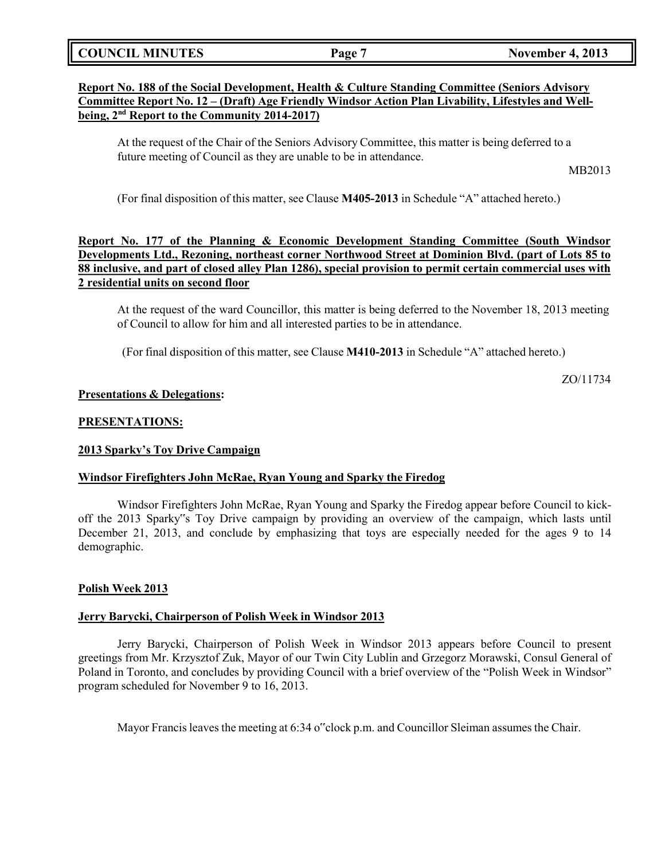|  | <b>COUNCIL MINUTES</b> |
|--|------------------------|
|--|------------------------|

## **Report No. 188 of the Social Development, Health & Culture Standing Committee (Seniors Advisory Committee Report No. 12 – (Draft) Age Friendly Windsor Action Plan Livability, Lifestyles and Wellbeing, 2 nd Report to the Community 2014-2017)**

At the request of the Chair of the Seniors Advisory Committee, this matter is being deferred to a future meeting of Council as they are unable to be in attendance.

MB2013

ZO/11734

(For final disposition of this matter, see Clause **M405-2013** in Schedule "A" attached hereto.)

## **Report No. 177 of the Planning & Economic Development Standing Committee (South Windsor Developments Ltd., Rezoning, northeast corner Northwood Street at Dominion Blvd. (part of Lots 85 to 88 inclusive, and part of closed alley Plan 1286), special provision to permit certain commercial uses with 2 residential units on second floor**

At the request of the ward Councillor, this matter is being deferred to the November 18, 2013 meeting of Council to allow for him and all interested parties to be in attendance.

(For final disposition of this matter, see Clause **M410-2013** in Schedule "A" attached hereto.)

**Presentations & Delegations:**

## **PRESENTATIONS:**

### **2013 Sparky's Toy Drive Campaign**

### **Windsor Firefighters John McRae, Ryan Young and Sparky the Firedog**

Windsor Firefighters John McRae, Ryan Young and Sparky the Firedog appear before Council to kickoff the 2013 Sparky"s Toy Drive campaign by providing an overview of the campaign, which lasts until December 21, 2013, and conclude by emphasizing that toys are especially needed for the ages 9 to 14 demographic.

## **Polish Week 2013**

### **Jerry Barycki, Chairperson of Polish Week in Windsor 2013**

Jerry Barycki, Chairperson of Polish Week in Windsor 2013 appears before Council to present greetings from Mr. Krzysztof Zuk, Mayor of our Twin City Lublin and Grzegorz Morawski, Consul General of Poland in Toronto, and concludes by providing Council with a brief overview of the "Polish Week in Windsor" program scheduled for November 9 to 16, 2013.

Mayor Francis leaves the meeting at 6:34 o"clock p.m. and Councillor Sleiman assumes the Chair.

**Page 7 November 4, 2013**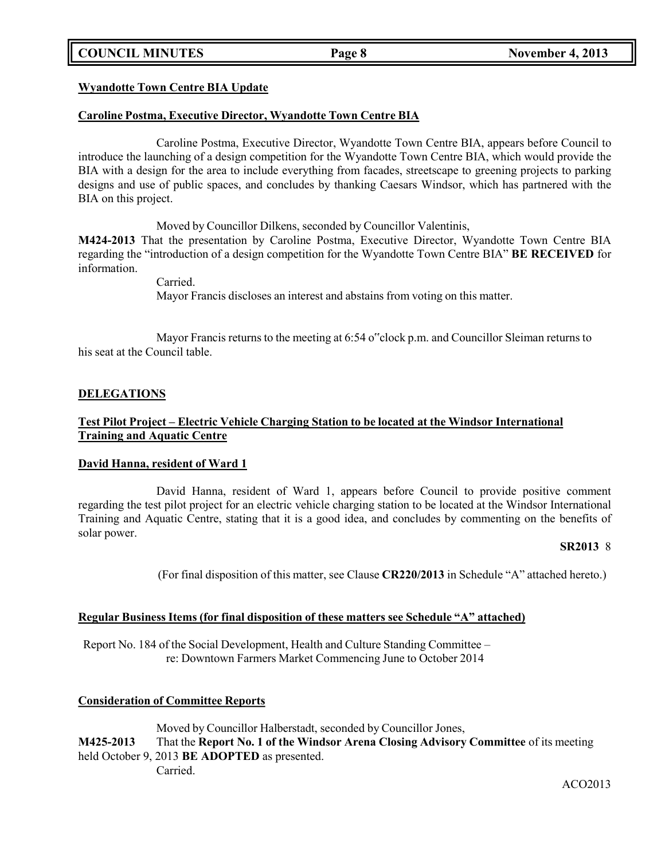## **COUNCIL MINUTES Page 8 November 4, 2013**

### **Wyandotte Town Centre BIA Update**

### **Caroline Postma, Executive Director, Wyandotte Town Centre BIA**

Caroline Postma, Executive Director, Wyandotte Town Centre BIA, appears before Council to introduce the launching of a design competition for the Wyandotte Town Centre BIA, which would provide the BIA with a design for the area to include everything from facades, streetscape to greening projects to parking designs and use of public spaces, and concludes by thanking Caesars Windsor, which has partnered with the BIA on this project.

Moved by Councillor Dilkens, seconded by Councillor Valentinis,

**M424-2013** That the presentation by Caroline Postma, Executive Director, Wyandotte Town Centre BIA regarding the "introduction of a design competition for the Wyandotte Town Centre BIA" **BE RECEIVED** for information.

> Carried. Mayor Francis discloses an interest and abstains from voting on this matter.

Mayor Francis returns to the meeting at 6:54 o"clock p.m. and Councillor Sleiman returns to his seat at the Council table.

### **DELEGATIONS**

## **Test Pilot Project – Electric Vehicle Charging Station to be located at the Windsor International Training and Aquatic Centre**

### **David Hanna, resident of Ward 1**

David Hanna, resident of Ward 1, appears before Council to provide positive comment regarding the test pilot project for an electric vehicle charging station to be located at the Windsor International Training and Aquatic Centre, stating that it is a good idea, and concludes by commenting on the benefits of solar power.

### **SR2013** 8

(For final disposition of this matter, see Clause **CR220/2013** in Schedule "A" attached hereto.)

### **Regular Business Items (for final disposition of these matters see Schedule "A" attached)**

Report No. 184 of the Social Development, Health and Culture Standing Committee – re: Downtown Farmers Market Commencing June to October 2014

### **Consideration of Committee Reports**

Moved by Councillor Halberstadt, seconded by Councillor Jones, **M425-2013** That the **Report No. 1 of the Windsor Arena Closing Advisory Committee** of its meeting held October 9, 2013 **BE ADOPTED** as presented. Carried.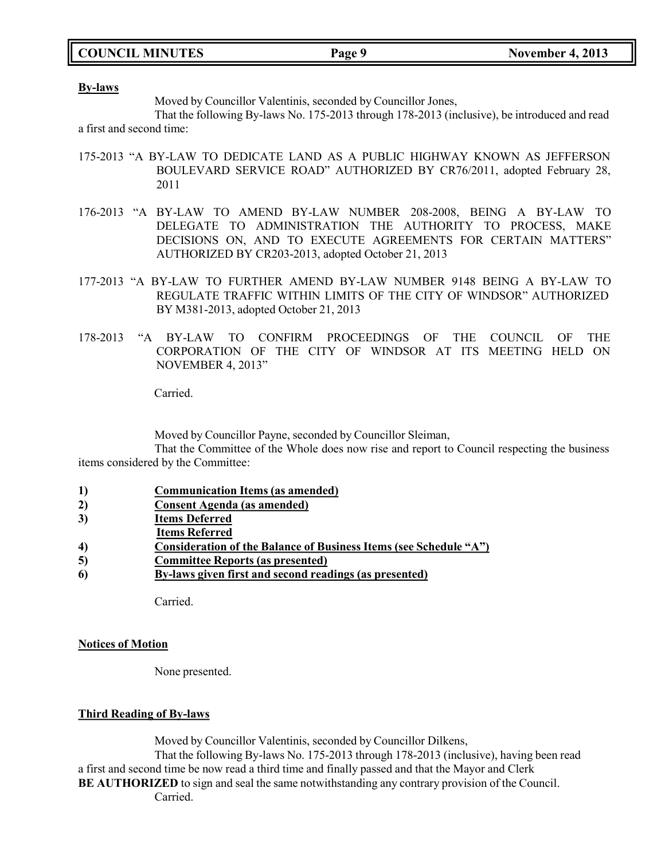|  | <b>COUNCIL MINUTES</b> |
|--|------------------------|
|--|------------------------|

### **By-laws**

Moved by Councillor Valentinis, seconded by Councillor Jones,

That the following By-laws No. 175-2013 through 178-2013 (inclusive), be introduced and read a first and second time:

- 175-2013 "A BY-LAW TO DEDICATE LAND AS A PUBLIC HIGHWAY KNOWN AS JEFFERSON BOULEVARD SERVICE ROAD" AUTHORIZED BY CR76/2011, adopted February 28, 2011
- 176-2013 "A BY-LAW TO AMEND BY-LAW NUMBER 208-2008, BEING A BY-LAW TO DELEGATE TO ADMINISTRATION THE AUTHORITY TO PROCESS, MAKE DECISIONS ON, AND TO EXECUTE AGREEMENTS FOR CERTAIN MATTERS" AUTHORIZED BY CR203-2013, adopted October 21, 2013
- 177-2013 "A BY-LAW TO FURTHER AMEND BY-LAW NUMBER 9148 BEING A BY-LAW TO REGULATE TRAFFIC WITHIN LIMITS OF THE CITY OF WINDSOR" AUTHORIZED BY M381-2013, adopted October 21, 2013
- 178-2013 "A BY-LAW TO CONFIRM PROCEEDINGS OF THE COUNCIL OF THE CORPORATION OF THE CITY OF WINDSOR AT ITS MEETING HELD ON NOVEMBER 4, 2013"

Carried.

Moved by Councillor Payne, seconded by Councillor Sleiman,

That the Committee of the Whole does now rise and report to Council respecting the business items considered by the Committee:

- **1) Communication Items (as amended)**
- **2) Consent Agenda (as amended)**
- **3) Items Deferred**
- **Items Referred**
- **4) Consideration of the Balance of Business Items (see Schedule "A")**
- **5) Committee Reports (as presented)**
- **6) By-laws given first and second readings (as presented)**

Carried.

### **Notices of Motion**

None presented.

### **Third Reading of By-laws**

Moved by Councillor Valentinis, seconded by Councillor Dilkens, That the following By-laws No. 175-2013 through 178-2013 (inclusive), having been read a first and second time be now read a third time and finally passed and that the Mayor and Clerk **BE AUTHORIZED** to sign and seal the same notwithstanding any contrary provision of the Council. Carried.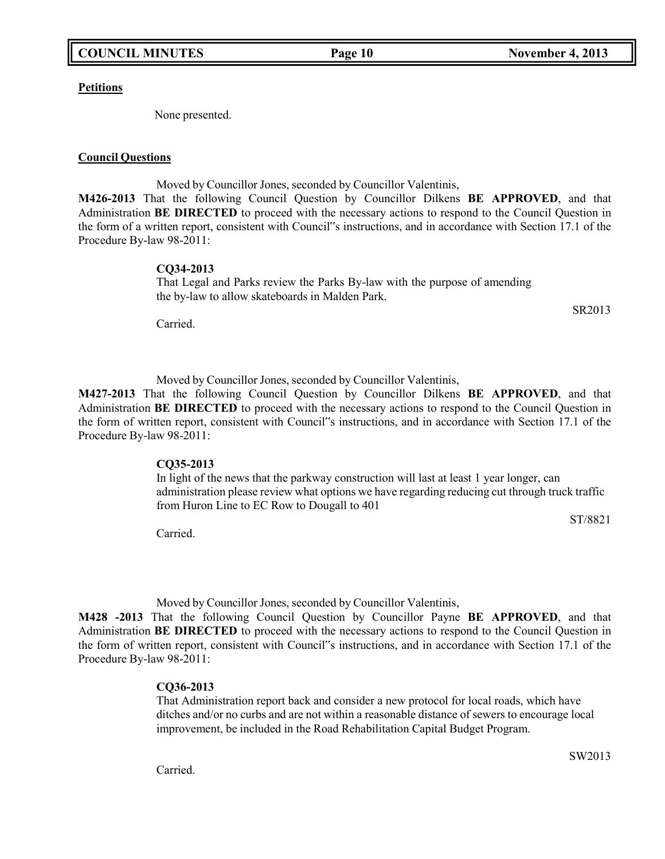**Petitions**

None presented.

### **Council Questions**

Moved by Councillor Jones, seconded by Councillor Valentinis, **M426-2013** That the following Council Question by Councillor Dilkens **BE APPROVED**, and that Administration **BE DIRECTED** to proceed with the necessary actions to respond to the Council Question in the form of a written report, consistent with Council"s instructions, and in accordance with Section 17.1 of the Procedure By-law 98-2011:

### **CQ34-2013**

That Legal and Parks review the Parks By-law with the purpose of amending the by-law to allow skateboards in Malden Park.

Carried.

Moved by Councillor Jones, seconded by Councillor Valentinis,

**M427-2013** That the following Council Question by Councillor Dilkens **BE APPROVED**, and that Administration **BE DIRECTED** to proceed with the necessary actions to respond to the Council Question in the form of written report, consistent with Council"s instructions, and in accordance with Section 17.1 of the Procedure By-law 98-2011:

### **CQ35-2013**

In light of the news that the parkway construction will last at least 1 year longer, can administration please review what options we have regarding reducing cut through truck traffic from Huron Line to EC Row to Dougall to 401

Carried.

Moved by Councillor Jones, seconded by Councillor Valentinis,

**M428 -2013** That the following Council Question by Councillor Payne **BE APPROVED**, and that Administration **BE DIRECTED** to proceed with the necessary actions to respond to the Council Question in the form of written report, consistent with Council"s instructions, and in accordance with Section 17.1 of the Procedure By-law 98-2011:

### **CQ36-2013**

That Administration report back and consider a new protocol for local roads, which have ditches and/or no curbs and are not within a reasonable distance of sewers to encourage local improvement, be included in the Road Rehabilitation Capital Budget Program.

Carried.

SW2013

ST/8821

SR2013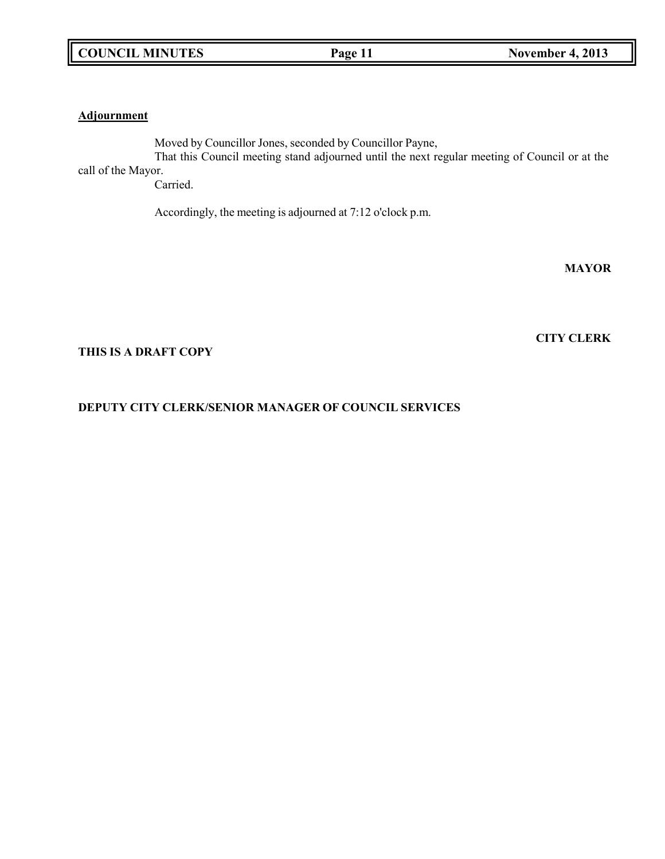## **Adjournment**

Moved by Councillor Jones, seconded by Councillor Payne, That this Council meeting stand adjourned until the next regular meeting of Council or at the call of the Mayor. Carried.

Accordingly, the meeting is adjourned at 7:12 o'clock p.m.

**MAYOR**

**CITY CLERK**

## **THIS IS A DRAFT COPY**

## **DEPUTY CITY CLERK/SENIOR MANAGER OF COUNCIL SERVICES**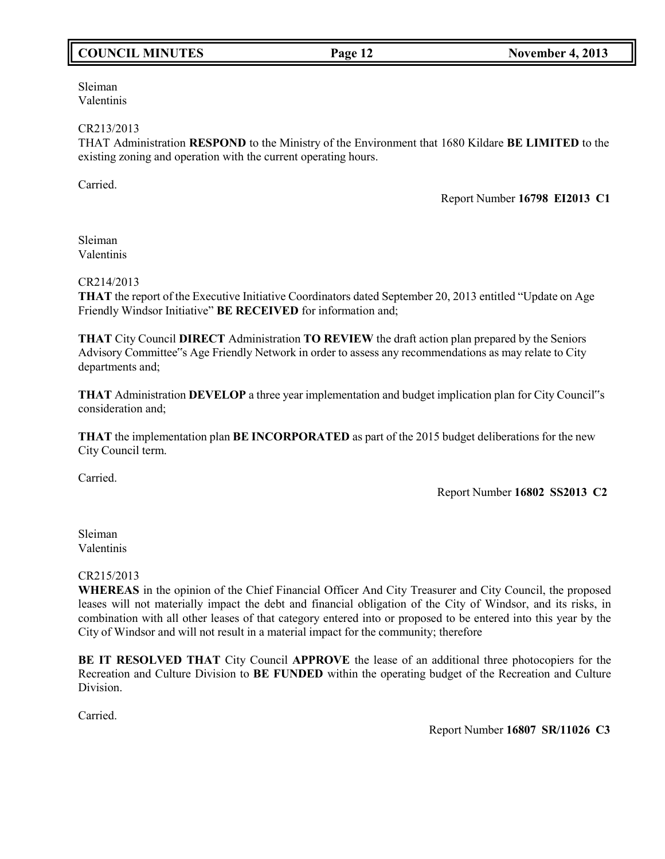## **COUNCIL MINUTES Page 12 November 4, 2013**

Sleiman Valentinis

### CR213/2013

THAT Administration **RESPOND** to the Ministry of the Environment that 1680 Kildare **BE LIMITED** to the existing zoning and operation with the current operating hours.

Carried.

Report Number **16798 EI2013 C1**

Sleiman Valentinis

### CR214/2013

**THAT** the report of the Executive Initiative Coordinators dated September 20, 2013 entitled "Update on Age Friendly Windsor Initiative" **BE RECEIVED** for information and;

**THAT** City Council **DIRECT** Administration **TO REVIEW** the draft action plan prepared by the Seniors Advisory Committee"s Age Friendly Network in order to assess any recommendations as may relate to City departments and;

**THAT** Administration **DEVELOP** a three year implementation and budget implication plan for City Council"s consideration and;

**THAT** the implementation plan **BE INCORPORATED** as part of the 2015 budget deliberations for the new City Council term.

Carried.

Report Number **16802 SS2013 C2**

Sleiman Valentinis

### CR215/2013

**WHEREAS** in the opinion of the Chief Financial Officer And City Treasurer and City Council, the proposed leases will not materially impact the debt and financial obligation of the City of Windsor, and its risks, in combination with all other leases of that category entered into or proposed to be entered into this year by the City of Windsor and will not result in a material impact for the community; therefore

**BE IT RESOLVED THAT** City Council **APPROVE** the lease of an additional three photocopiers for the Recreation and Culture Division to **BE FUNDED** within the operating budget of the Recreation and Culture Division.

Carried.

Report Number **16807 SR/11026 C3**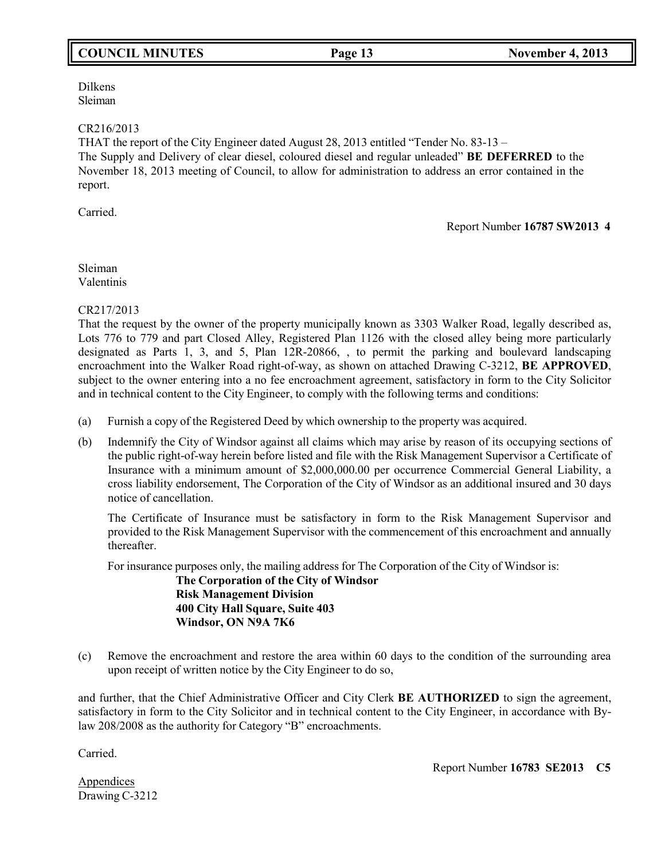Dilkens Sleiman

### CR216/2013

THAT the report of the City Engineer dated August 28, 2013 entitled "Tender No. 83-13 – The Supply and Delivery of clear diesel, coloured diesel and regular unleaded" **BE DEFERRED** to the November 18, 2013 meeting of Council, to allow for administration to address an error contained in the report.

Carried.

Report Number **16787 SW2013 4**

## Sleiman Valentinis

CR217/2013

That the request by the owner of the property municipally known as 3303 Walker Road, legally described as, Lots 776 to 779 and part Closed Alley, Registered Plan 1126 with the closed alley being more particularly designated as Parts 1, 3, and 5, Plan 12R-20866, , to permit the parking and boulevard landscaping encroachment into the Walker Road right-of-way, as shown on attached Drawing C-3212, **BE APPROVED**, subject to the owner entering into a no fee encroachment agreement, satisfactory in form to the City Solicitor and in technical content to the City Engineer, to comply with the following terms and conditions:

- (a) Furnish a copy of the Registered Deed by which ownership to the property was acquired.
- (b) Indemnify the City of Windsor against all claims which may arise by reason of its occupying sections of the public right-of-way herein before listed and file with the Risk Management Supervisor a Certificate of Insurance with a minimum amount of \$2,000,000.00 per occurrence Commercial General Liability, a cross liability endorsement, The Corporation of the City of Windsor as an additional insured and 30 days notice of cancellation.

The Certificate of Insurance must be satisfactory in form to the Risk Management Supervisor and provided to the Risk Management Supervisor with the commencement of this encroachment and annually thereafter.

For insurance purposes only, the mailing address for The Corporation of the City of Windsor is:

**The Corporation of the City of Windsor Risk Management Division 400 City Hall Square, Suite 403 Windsor, ON N9A 7K6**

(c) Remove the encroachment and restore the area within 60 days to the condition of the surrounding area upon receipt of written notice by the City Engineer to do so,

and further, that the Chief Administrative Officer and City Clerk **BE AUTHORIZED** to sign the agreement, satisfactory in form to the City Solicitor and in technical content to the City Engineer, in accordance with Bylaw 208/2008 as the authority for Category "B" encroachments.

Carried.

Report Number **16783 SE2013 C5**

**Appendices** Drawing C-3212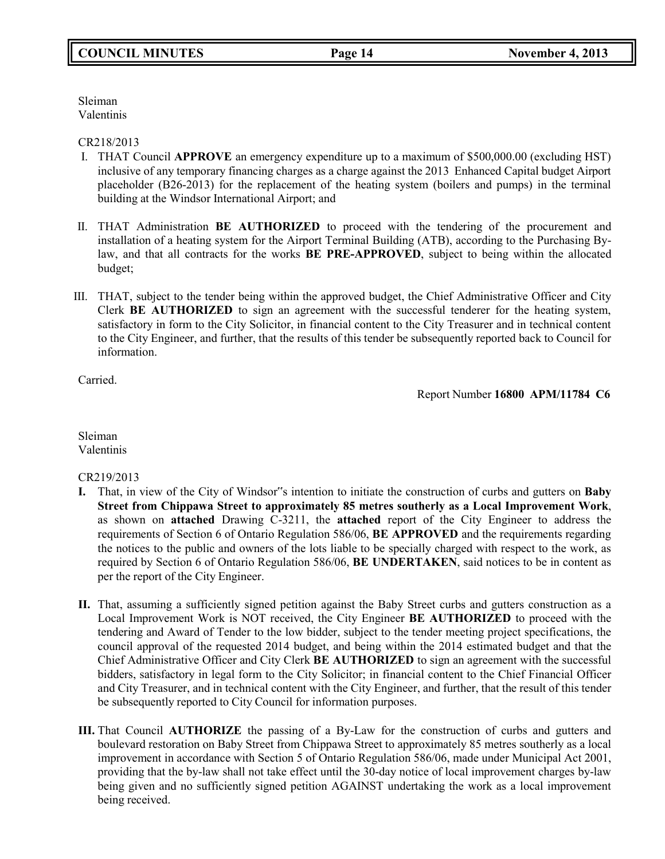Sleiman Valentinis

### CR218/2013

- I. THAT Council **APPROVE** an emergency expenditure up to a maximum of \$500,000.00 (excluding HST) inclusive of any temporary financing charges as a charge against the 2013 Enhanced Capital budget Airport placeholder (B26-2013) for the replacement of the heating system (boilers and pumps) in the terminal building at the Windsor International Airport; and
- II. THAT Administration **BE AUTHORIZED** to proceed with the tendering of the procurement and installation of a heating system for the Airport Terminal Building (ATB), according to the Purchasing Bylaw, and that all contracts for the works **BE PRE-APPROVED**, subject to being within the allocated budget;
- III. THAT, subject to the tender being within the approved budget, the Chief Administrative Officer and City Clerk **BE AUTHORIZED** to sign an agreement with the successful tenderer for the heating system, satisfactory in form to the City Solicitor, in financial content to the City Treasurer and in technical content to the City Engineer, and further, that the results of this tender be subsequently reported back to Council for information.

Carried.

Report Number **16800 APM/11784 C6**

Sleiman Valentinis

## CR219/2013

- **I.** That, in view of the City of Windsor"s intention to initiate the construction of curbs and gutters on **Baby Street from Chippawa Street to approximately 85 metres southerly as a Local Improvement Work**, as shown on **attached** Drawing C-3211, the **attached** report of the City Engineer to address the requirements of Section 6 of Ontario Regulation 586/06, **BE APPROVED** and the requirements regarding the notices to the public and owners of the lots liable to be specially charged with respect to the work, as required by Section 6 of Ontario Regulation 586/06, **BE UNDERTAKEN**, said notices to be in content as per the report of the City Engineer.
- **II.** That, assuming a sufficiently signed petition against the Baby Street curbs and gutters construction as a Local Improvement Work is NOT received, the City Engineer **BE AUTHORIZED** to proceed with the tendering and Award of Tender to the low bidder, subject to the tender meeting project specifications, the council approval of the requested 2014 budget, and being within the 2014 estimated budget and that the Chief Administrative Officer and City Clerk **BE AUTHORIZED** to sign an agreement with the successful bidders, satisfactory in legal form to the City Solicitor; in financial content to the Chief Financial Officer and City Treasurer, and in technical content with the City Engineer, and further, that the result of this tender be subsequently reported to City Council for information purposes.
- **III.** That Council **AUTHORIZE** the passing of a By-Law for the construction of curbs and gutters and boulevard restoration on Baby Street from Chippawa Street to approximately 85 metres southerly as a local improvement in accordance with Section 5 of Ontario Regulation 586/06, made under Municipal Act 2001, providing that the by-law shall not take effect until the 30-day notice of local improvement charges by-law being given and no sufficiently signed petition AGAINST undertaking the work as a local improvement being received.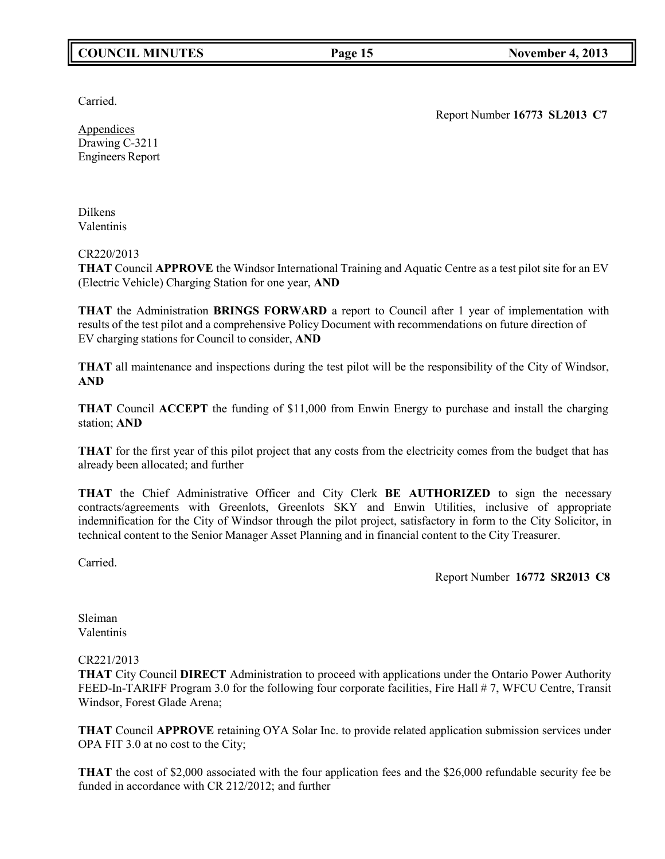## **COUNCIL MINUTES Page 15 November 4, 2013**

Carried.

Report Number **16773 SL2013 C7**

Appendices Drawing C-3211 Engineers Report

Dilkens Valentinis

CR220/2013

**THAT** Council **APPROVE** the Windsor International Training and Aquatic Centre as a test pilot site for an EV (Electric Vehicle) Charging Station for one year, **AND**

**THAT** the Administration **BRINGS FORWARD** a report to Council after 1 year of implementation with results of the test pilot and a comprehensive Policy Document with recommendations on future direction of EV charging stations for Council to consider, **AND**

**THAT** all maintenance and inspections during the test pilot will be the responsibility of the City of Windsor, **AND**

**THAT** Council **ACCEPT** the funding of \$11,000 from Enwin Energy to purchase and install the charging station; **AND**

**THAT** for the first year of this pilot project that any costs from the electricity comes from the budget that has already been allocated; and further

**THAT** the Chief Administrative Officer and City Clerk **BE AUTHORIZED** to sign the necessary contracts/agreements with Greenlots, Greenlots SKY and Enwin Utilities, inclusive of appropriate indemnification for the City of Windsor through the pilot project, satisfactory in form to the City Solicitor, in technical content to the Senior Manager Asset Planning and in financial content to the City Treasurer.

Carried.

Report Number **16772 SR2013 C8**

Sleiman Valentinis

CR221/2013

**THAT** City Council **DIRECT** Administration to proceed with applications under the Ontario Power Authority FEED-In-TARIFF Program 3.0 for the following four corporate facilities, Fire Hall # 7, WFCU Centre, Transit Windsor, Forest Glade Arena;

**THAT** Council **APPROVE** retaining OYA Solar Inc. to provide related application submission services under OPA FIT 3.0 at no cost to the City;

**THAT** the cost of \$2,000 associated with the four application fees and the \$26,000 refundable security fee be funded in accordance with CR 212/2012; and further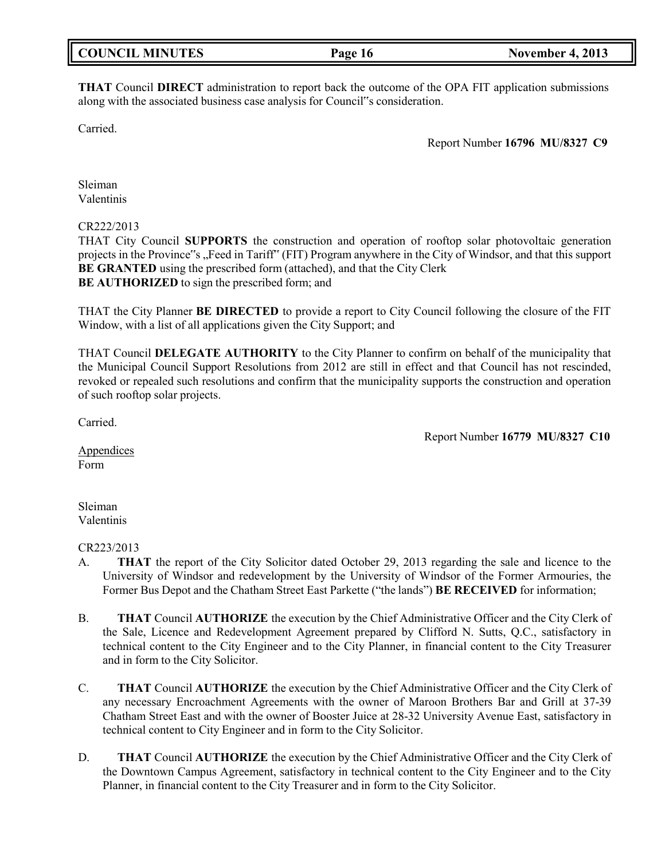| <b>COUNCIL MINUTES</b><br><b>November 4, 2013</b><br>Page 16 |
|--------------------------------------------------------------|
|--------------------------------------------------------------|

**THAT** Council **DIRECT** administration to report back the outcome of the OPA FIT application submissions along with the associated business case analysis for Council"s consideration.

Carried.

Report Number **16796 MU/8327 C9**

Sleiman Valentinis

### CR222/2013

THAT City Council **SUPPORTS** the construction and operation of rooftop solar photovoltaic generation projects in the Province"s "Feed in Tariff" (FIT) Program anywhere in the City of Windsor, and that this support **BE GRANTED** using the prescribed form (attached), and that the City Clerk **BE AUTHORIZED** to sign the prescribed form; and

THAT the City Planner **BE DIRECTED** to provide a report to City Council following the closure of the FIT Window, with a list of all applications given the City Support; and

THAT Council **DELEGATE AUTHORITY** to the City Planner to confirm on behalf of the municipality that the Municipal Council Support Resolutions from 2012 are still in effect and that Council has not rescinded, revoked or repealed such resolutions and confirm that the municipality supports the construction and operation of such rooftop solar projects.

Carried.

Report Number **16779 MU/8327 C10**

Appendices Form

Sleiman Valentinis

### CR223/2013

- A. **THAT** the report of the City Solicitor dated October 29, 2013 regarding the sale and licence to the University of Windsor and redevelopment by the University of Windsor of the Former Armouries, the Former Bus Depot and the Chatham Street East Parkette ("the lands") **BE RECEIVED** for information;
- B. **THAT** Council **AUTHORIZE** the execution by the Chief Administrative Officer and the City Clerk of the Sale, Licence and Redevelopment Agreement prepared by Clifford N. Sutts, Q.C., satisfactory in technical content to the City Engineer and to the City Planner, in financial content to the City Treasurer and in form to the City Solicitor.
- C. **THAT** Council **AUTHORIZE** the execution by the Chief Administrative Officer and the City Clerk of any necessary Encroachment Agreements with the owner of Maroon Brothers Bar and Grill at 37-39 Chatham Street East and with the owner of Booster Juice at 28-32 University Avenue East, satisfactory in technical content to City Engineer and in form to the City Solicitor.
- D. **THAT** Council **AUTHORIZE** the execution by the Chief Administrative Officer and the City Clerk of the Downtown Campus Agreement, satisfactory in technical content to the City Engineer and to the City Planner, in financial content to the City Treasurer and in form to the City Solicitor.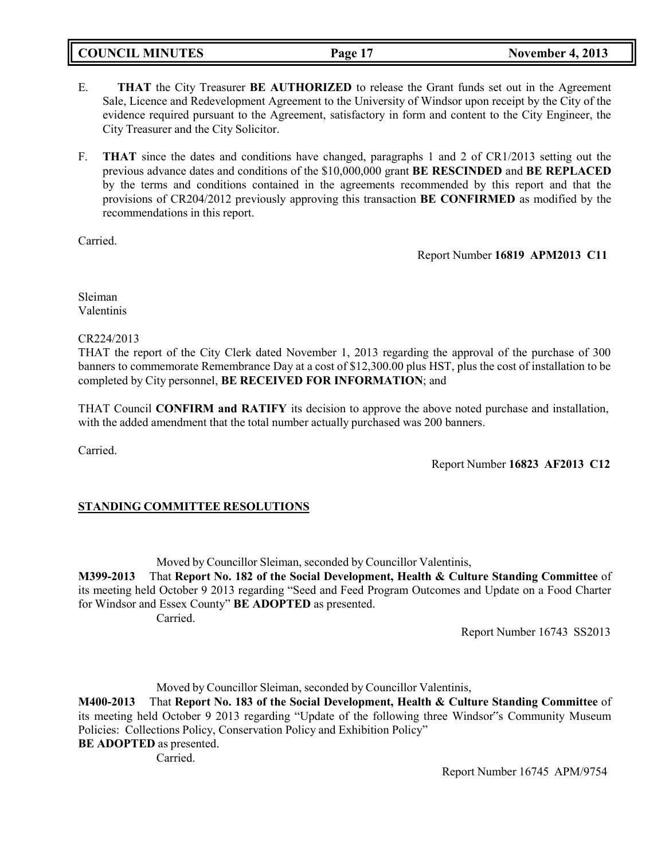**COUNCIL MINUTES Page 17 November 4, 2013**

- E. **THAT** the City Treasurer **BE AUTHORIZED** to release the Grant funds set out in the Agreement Sale, Licence and Redevelopment Agreement to the University of Windsor upon receipt by the City of the evidence required pursuant to the Agreement, satisfactory in form and content to the City Engineer, the City Treasurer and the City Solicitor.
- F. **THAT** since the dates and conditions have changed, paragraphs 1 and 2 of CR1/2013 setting out the previous advance dates and conditions of the \$10,000,000 grant **BE RESCINDED** and **BE REPLACED** by the terms and conditions contained in the agreements recommended by this report and that the provisions of CR204/2012 previously approving this transaction **BE CONFIRMED** as modified by the recommendations in this report.

Carried.

Report Number **16819 APM2013 C11**

Sleiman Valentinis

CR224/2013

THAT the report of the City Clerk dated November 1, 2013 regarding the approval of the purchase of 300 banners to commemorate Remembrance Day at a cost of \$12,300.00 plus HST, plus the cost of installation to be completed by City personnel, **BE RECEIVED FOR INFORMATION**; and

THAT Council **CONFIRM and RATIFY** its decision to approve the above noted purchase and installation, with the added amendment that the total number actually purchased was 200 banners.

Carried.

Report Number **16823 AF2013 C12**

## **STANDING COMMITTEE RESOLUTIONS**

Moved by Councillor Sleiman, seconded by Councillor Valentinis,

**M399-2013** That **Report No. 182 of the Social Development, Health & Culture Standing Committee** of its meeting held October 9 2013 regarding "Seed and Feed Program Outcomes and Update on a Food Charter for Windsor and Essex County" **BE ADOPTED** as presented.

Carried.

Report Number 16743 SS2013

Moved by Councillor Sleiman, seconded by Councillor Valentinis,

**M400-2013** That **Report No. 183 of the Social Development, Health & Culture Standing Committee** of its meeting held October 9 2013 regarding "Update of the following three Windsor"s Community Museum Policies: Collections Policy, Conservation Policy and Exhibition Policy"

**BE ADOPTED** as presented.

Carried.

Report Number 16745 APM/9754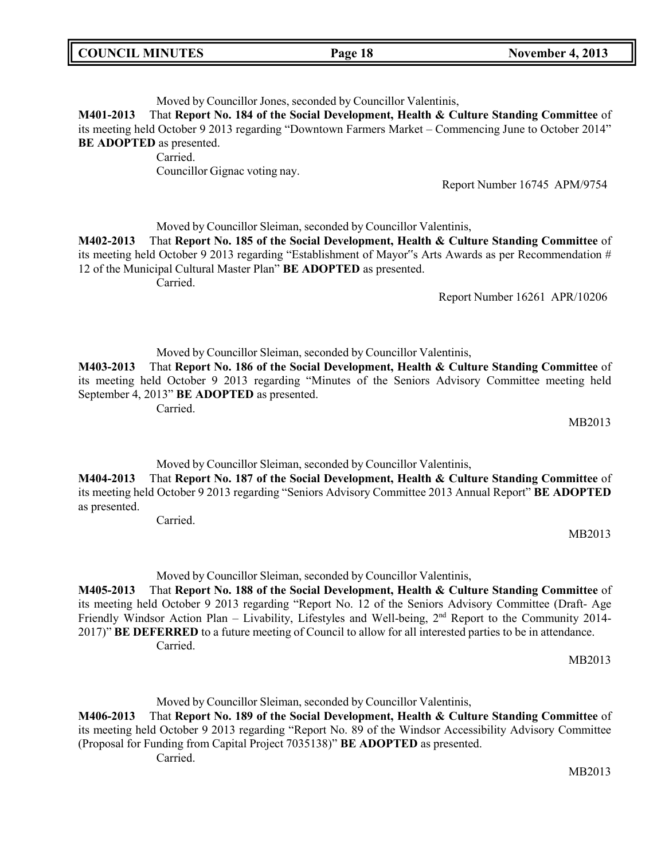| <b>COUNCIL MINUTES</b><br>Page 18 | <b>November 4, 2013</b> |
|-----------------------------------|-------------------------|
|-----------------------------------|-------------------------|

Moved by Councillor Jones, seconded by Councillor Valentinis,

**M401-2013** That **Report No. 184 of the Social Development, Health & Culture Standing Committee** of its meeting held October 9 2013 regarding "Downtown Farmers Market – Commencing June to October 2014" **BE ADOPTED** as presented.

Carried.

Councillor Gignac voting nay.

Report Number 16745 APM/9754

Moved by Councillor Sleiman, seconded by Councillor Valentinis,

**M402-2013** That **Report No. 185 of the Social Development, Health & Culture Standing Committee** of its meeting held October 9 2013 regarding "Establishment of Mayor"s Arts Awards as per Recommendation # 12 of the Municipal Cultural Master Plan" **BE ADOPTED** as presented.

Carried.

Report Number 16261 APR/10206

Moved by Councillor Sleiman, seconded by Councillor Valentinis,

**M403-2013** That **Report No. 186 of the Social Development, Health & Culture Standing Committee** of its meeting held October 9 2013 regarding "Minutes of the Seniors Advisory Committee meeting held September 4, 2013" **BE ADOPTED** as presented.

Carried.

MB2013

Moved by Councillor Sleiman, seconded by Councillor Valentinis,

**M404-2013** That **Report No. 187 of the Social Development, Health & Culture Standing Committee** of its meeting held October 9 2013 regarding "Seniors Advisory Committee 2013 Annual Report" **BE ADOPTED** as presented.

Carried.

MB2013

Moved by Councillor Sleiman, seconded by Councillor Valentinis,

**M405-2013** That **Report No. 188 of the Social Development, Health & Culture Standing Committee** of its meeting held October 9 2013 regarding "Report No. 12 of the Seniors Advisory Committee (Draft- Age Friendly Windsor Action Plan – Livability, Lifestyles and Well-being, 2<sup>nd</sup> Report to the Community 2014-2017)" **BE DEFERRED** to a future meeting of Council to allow for all interested parties to be in attendance. Carried.

MB2013

Moved by Councillor Sleiman, seconded by Councillor Valentinis,

**M406-2013** That **Report No. 189 of the Social Development, Health & Culture Standing Committee** of its meeting held October 9 2013 regarding "Report No. 89 of the Windsor Accessibility Advisory Committee (Proposal for Funding from Capital Project 7035138)" **BE ADOPTED** as presented.

Carried.

MB2013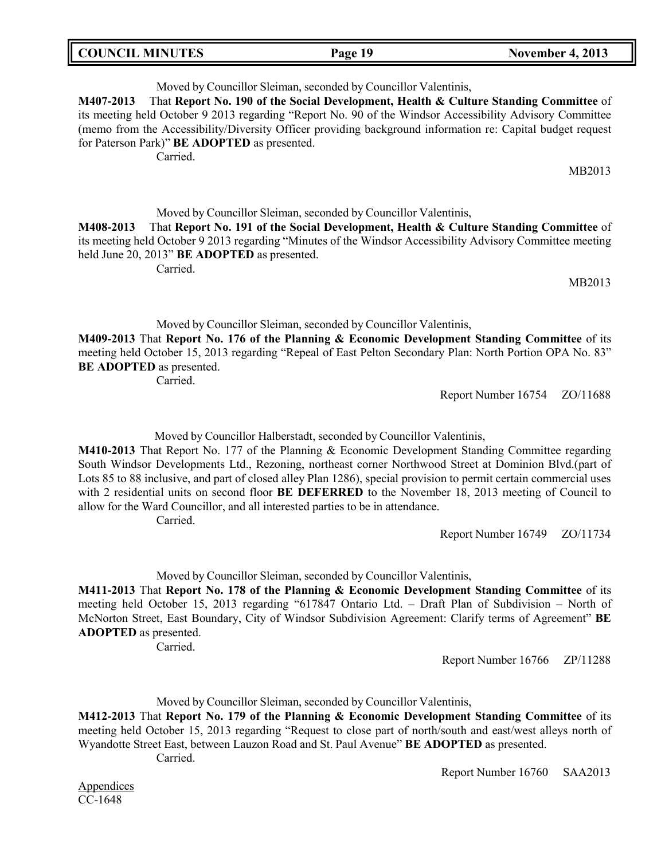| <b>COUNCIL MINUTES</b> | Page 19 | <b>November 4, 2013</b> |
|------------------------|---------|-------------------------|

Moved by Councillor Sleiman, seconded by Councillor Valentinis, **M407-2013** That **Report No. 190 of the Social Development, Health & Culture Standing Committee** of its meeting held October 9 2013 regarding "Report No. 90 of the Windsor Accessibility Advisory Committee (memo from the Accessibility/Diversity Officer providing background information re: Capital budget request for Paterson Park)" **BE ADOPTED** as presented. Carried.

MB2013

Moved by Councillor Sleiman, seconded by Councillor Valentinis,

**M408-2013** That **Report No. 191 of the Social Development, Health & Culture Standing Committee** of its meeting held October 9 2013 regarding "Minutes of the Windsor Accessibility Advisory Committee meeting held June 20, 2013" **BE ADOPTED** as presented.

Carried.

MB2013

Moved by Councillor Sleiman, seconded by Councillor Valentinis,

**M409-2013** That **Report No. 176 of the Planning & Economic Development Standing Committee** of its meeting held October 15, 2013 regarding "Repeal of East Pelton Secondary Plan: North Portion OPA No. 83" **BE ADOPTED** as presented.

Carried.

Report Number 16754 ZO/11688

Moved by Councillor Halberstadt, seconded by Councillor Valentinis,

**M410-2013** That Report No. 177 of the Planning & Economic Development Standing Committee regarding South Windsor Developments Ltd., Rezoning, northeast corner Northwood Street at Dominion Blvd.(part of Lots 85 to 88 inclusive, and part of closed alley Plan 1286), special provision to permit certain commercial uses with 2 residential units on second floor **BE DEFERRED** to the November 18, 2013 meeting of Council to allow for the Ward Councillor, and all interested parties to be in attendance.

Carried.

Report Number 16749 ZO/11734

Moved by Councillor Sleiman, seconded by Councillor Valentinis,

**M411-2013** That **Report No. 178 of the Planning & Economic Development Standing Committee** of its meeting held October 15, 2013 regarding "617847 Ontario Ltd. – Draft Plan of Subdivision – North of McNorton Street, East Boundary, City of Windsor Subdivision Agreement: Clarify terms of Agreement" **BE ADOPTED** as presented.

Carried.

Report Number 16766 ZP/11288

Moved by Councillor Sleiman, seconded by Councillor Valentinis,

**M412-2013** That **Report No. 179 of the Planning & Economic Development Standing Committee** of its meeting held October 15, 2013 regarding "Request to close part of north/south and east/west alleys north of Wyandotte Street East, between Lauzon Road and St. Paul Avenue" **BE ADOPTED** as presented.

Carried.

Report Number 16760 SAA2013

**Appendices** CC-1648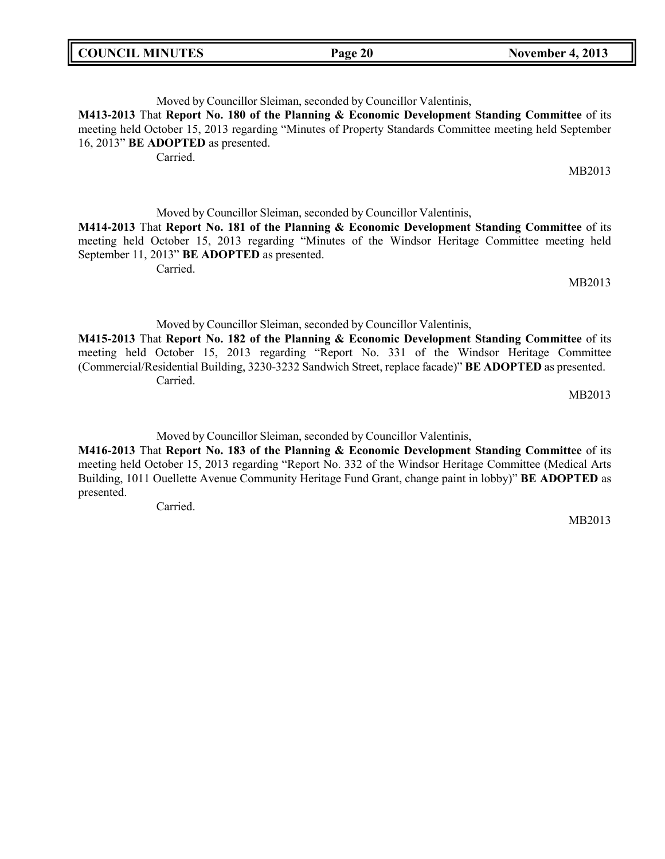| <b>COUNCIL MINUTES</b> | Page 20 | <b>November 4, 2013</b> |
|------------------------|---------|-------------------------|

Moved by Councillor Sleiman, seconded by Councillor Valentinis, **M413-2013** That **Report No. 180 of the Planning & Economic Development Standing Committee** of its meeting held October 15, 2013 regarding "Minutes of Property Standards Committee meeting held September 16, 2013" **BE ADOPTED** as presented. Carried. MB2013

Moved by Councillor Sleiman, seconded by Councillor Valentinis, **M414-2013** That **Report No. 181 of the Planning & Economic Development Standing Committee** of its meeting held October 15, 2013 regarding "Minutes of the Windsor Heritage Committee meeting held September 11, 2013" **BE ADOPTED** as presented.

Carried.

MB2013

Moved by Councillor Sleiman, seconded by Councillor Valentinis,

**M415-2013** That **Report No. 182 of the Planning & Economic Development Standing Committee** of its meeting held October 15, 2013 regarding "Report No. 331 of the Windsor Heritage Committee (Commercial/Residential Building, 3230-3232 Sandwich Street, replace facade)" **BE ADOPTED** as presented. Carried.

MB2013

Moved by Councillor Sleiman, seconded by Councillor Valentinis,

**M416-2013** That **Report No. 183 of the Planning & Economic Development Standing Committee** of its meeting held October 15, 2013 regarding "Report No. 332 of the Windsor Heritage Committee (Medical Arts Building, 1011 Ouellette Avenue Community Heritage Fund Grant, change paint in lobby)" **BE ADOPTED** as presented.

Carried.

MB2013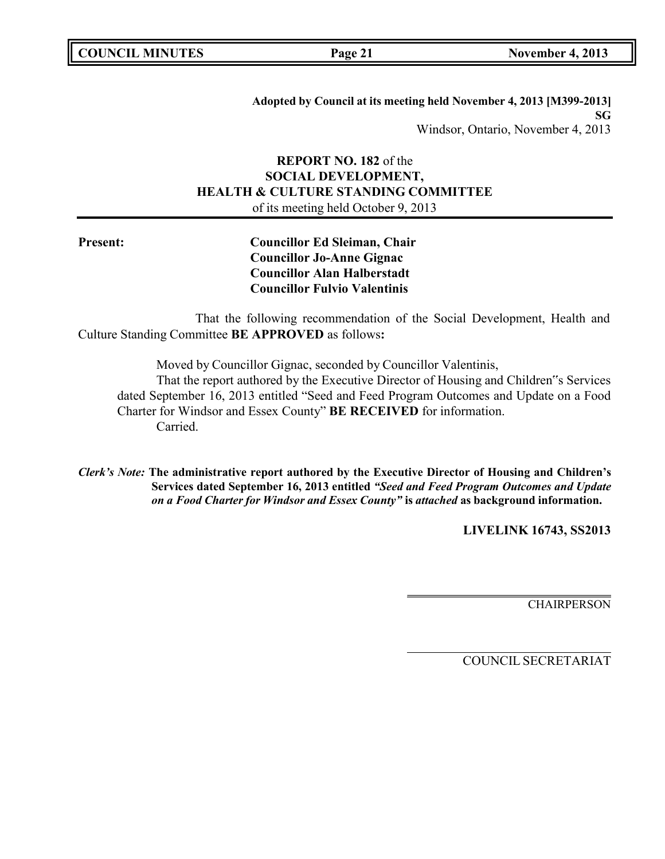**COUNCIL MINUTES Page 21 November 4, 2013**

**Adopted by Council at its meeting held November 4, 2013 [M399-2013] SG** Windsor, Ontario, November 4, 2013

## **REPORT NO. 182** of the **SOCIAL DEVELOPMENT, HEALTH & CULTURE STANDING COMMITTEE** of its meeting held October 9, 2013

**Present: Councillor Ed Sleiman, Chair Councillor Jo-Anne Gignac Councillor Alan Halberstadt Councillor Fulvio Valentinis**

That the following recommendation of the Social Development, Health and Culture Standing Committee **BE APPROVED** as follows**:**

Moved by Councillor Gignac, seconded by Councillor Valentinis,

That the report authored by the Executive Director of Housing and Children"s Services dated September 16, 2013 entitled "Seed and Feed Program Outcomes and Update on a Food Charter for Windsor and Essex County" **BE RECEIVED** for information. Carried.

*Clerk's Note:* **The administrative report authored by the Executive Director of Housing and Children's Services dated September 16, 2013 entitled** *"Seed and Feed Program Outcomes and Update on a Food Charter for Windsor and Essex County"* **is** *attached* **as background information.**

**LIVELINK 16743, SS2013**

**CHAIRPERSON**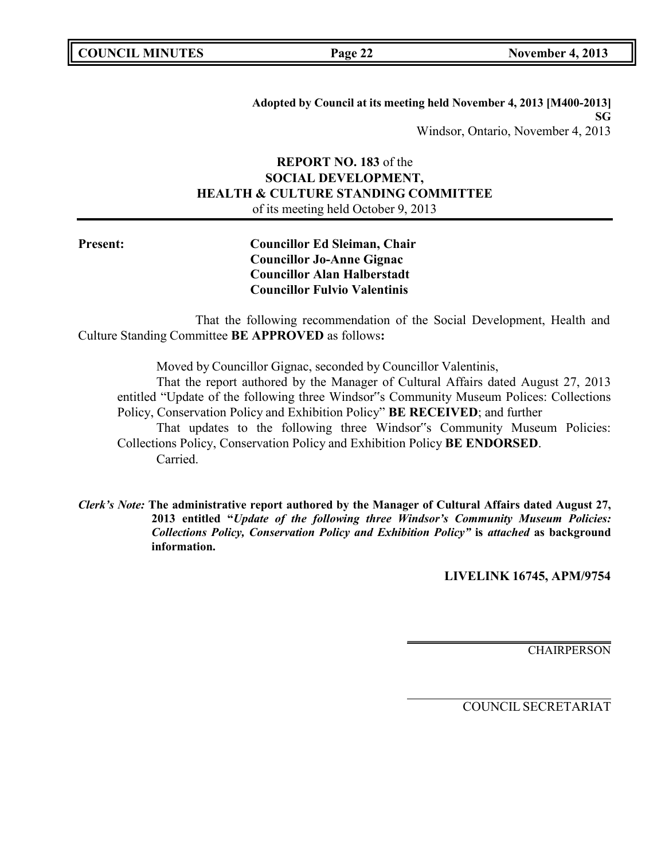|  | <b>COUNCIL MINUTES</b> |
|--|------------------------|
|--|------------------------|

**Adopted by Council at its meeting held November 4, 2013 [M400-2013] SG** Windsor, Ontario, November 4, 2013

## **REPORT NO. 183** of the **SOCIAL DEVELOPMENT, HEALTH & CULTURE STANDING COMMITTEE** of its meeting held October 9, 2013

**Present: Councillor Ed Sleiman, Chair Councillor Jo-Anne Gignac Councillor Alan Halberstadt Councillor Fulvio Valentinis**

That the following recommendation of the Social Development, Health and Culture Standing Committee **BE APPROVED** as follows**:**

Moved by Councillor Gignac, seconded by Councillor Valentinis,

That the report authored by the Manager of Cultural Affairs dated August 27, 2013 entitled "Update of the following three Windsor"s Community Museum Polices: Collections Policy, Conservation Policy and Exhibition Policy" **BE RECEIVED**; and further

That updates to the following three Windsor"s Community Museum Policies: Collections Policy, Conservation Policy and Exhibition Policy **BE ENDORSED**. Carried.

*Clerk's Note:* **The administrative report authored by the Manager of Cultural Affairs dated August 27, 2013 entitled "***Update of the following three Windsor's Community Museum Policies: Collections Policy, Conservation Policy and Exhibition Policy"* **is** *attached* **as background information.**

**LIVELINK 16745, APM/9754**

CHAIRPERSON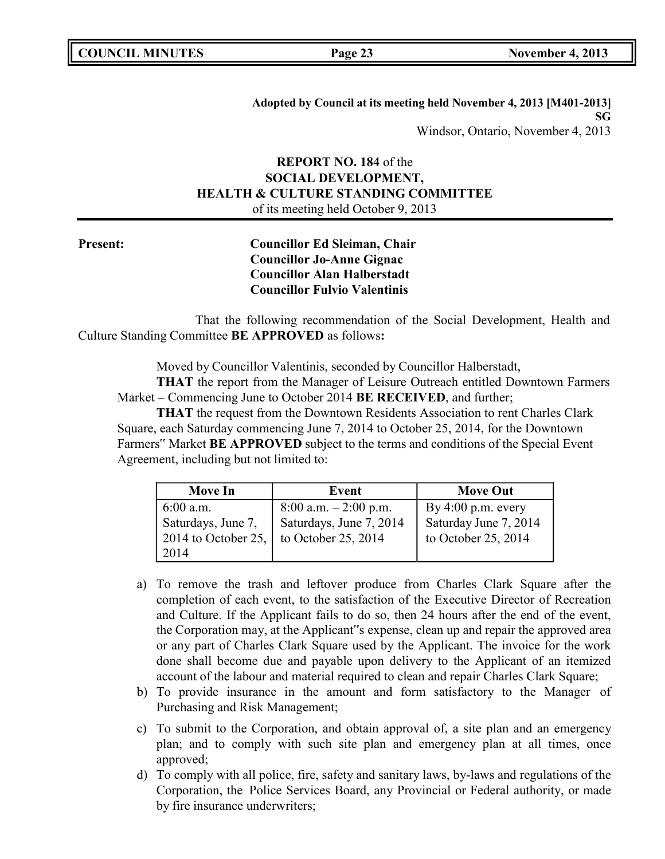**Adopted by Council at its meeting held November 4, 2013 [M401-2013] SG** Windsor, Ontario, November 4, 2013

## **REPORT NO. 184** of the **SOCIAL DEVELOPMENT, HEALTH & CULTURE STANDING COMMITTEE** of its meeting held October 9, 2013

**Present: Councillor Ed Sleiman, Chair Councillor Jo-Anne Gignac Councillor Alan Halberstadt Councillor Fulvio Valentinis**

That the following recommendation of the Social Development, Health and Culture Standing Committee **BE APPROVED** as follows**:**

Moved by Councillor Valentinis, seconded by Councillor Halberstadt,

**THAT** the report from the Manager of Leisure Outreach entitled Downtown Farmers Market – Commencing June to October 2014 **BE RECEIVED**, and further;

**THAT** the request from the Downtown Residents Association to rent Charles Clark Square, each Saturday commencing June 7, 2014 to October 25, 2014, for the Downtown Farmers" Market **BE APPROVED** subject to the terms and conditions of the Special Event Agreement, including but not limited to:

| <b>Move In</b>              | Event                    | <b>Move Out</b>       |
|-----------------------------|--------------------------|-----------------------|
| $6:00$ a.m.                 | $8:00$ a.m. $-2:00$ p.m. | By $4:00$ p.m. every  |
| Saturdays, June 7,          | Saturdays, June 7, 2014  | Saturday June 7, 2014 |
| 2014 to October 25, $\vert$ | to October 25, 2014      | to October 25, 2014   |
| 2014                        |                          |                       |

- a) To remove the trash and leftover produce from Charles Clark Square after the completion of each event, to the satisfaction of the Executive Director of Recreation and Culture. If the Applicant fails to do so, then 24 hours after the end of the event, the Corporation may, at the Applicant"s expense, clean up and repair the approved area or any part of Charles Clark Square used by the Applicant. The invoice for the work done shall become due and payable upon delivery to the Applicant of an itemized account of the labour and material required to clean and repair Charles Clark Square;
- b) To provide insurance in the amount and form satisfactory to the Manager of Purchasing and Risk Management;
- c) To submit to the Corporation, and obtain approval of, a site plan and an emergency plan; and to comply with such site plan and emergency plan at all times, once approved;
- d) To comply with all police, fire, safety and sanitary laws, by-laws and regulations of the Corporation, the Police Services Board, any Provincial or Federal authority, or made by fire insurance underwriters;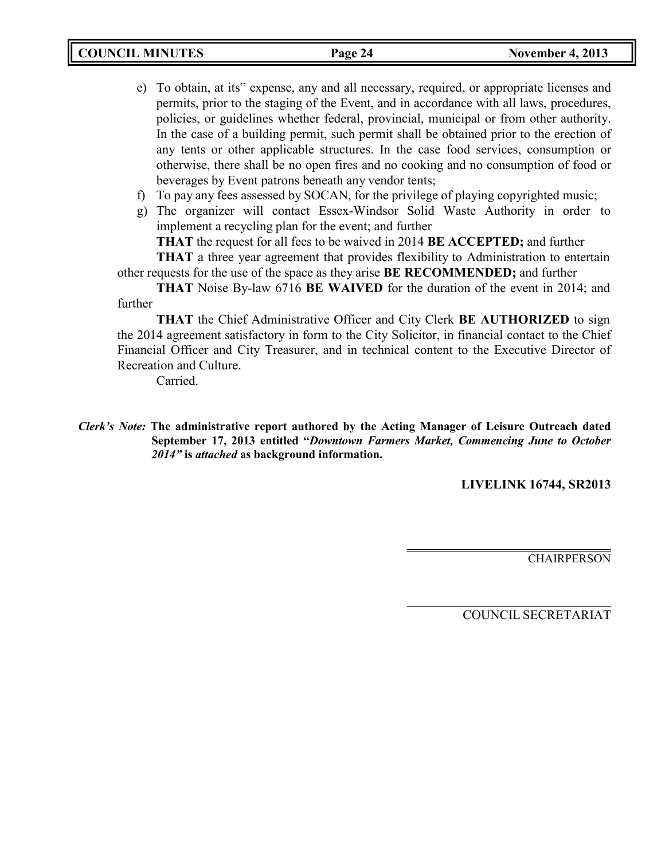- e) To obtain, at its" expense, any and all necessary, required, or appropriate licenses and permits, prior to the staging of the Event, and in accordance with all laws, procedures, policies, or guidelines whether federal, provincial, municipal or from other authority. In the case of a building permit, such permit shall be obtained prior to the erection of any tents or other applicable structures. In the case food services, consumption or otherwise, there shall be no open fires and no cooking and no consumption of food or beverages by Event patrons beneath any vendor tents;
- f) To pay any fees assessed by SOCAN, for the privilege of playing copyrighted music;
- g) The organizer will contact Essex-Windsor Solid Waste Authority in order to implement a recycling plan for the event; and further

**THAT** the request for all fees to be waived in 2014 **BE ACCEPTED;** and further

**THAT** a three year agreement that provides flexibility to Administration to entertain other requests for the use of the space as they arise **BE RECOMMENDED;** and further

**THAT** Noise By-law 6716 **BE WAIVED** for the duration of the event in 2014; and further

**THAT** the Chief Administrative Officer and City Clerk **BE AUTHORIZED** to sign the 2014 agreement satisfactory in form to the City Solicitor, in financial contact to the Chief Financial Officer and City Treasurer, and in technical content to the Executive Director of Recreation and Culture.

Carried.

**LIVELINK 16744, SR2013**

CHAIRPERSON

*Clerk's Note:* **The administrative report authored by the Acting Manager of Leisure Outreach dated September 17, 2013 entitled "***Downtown Farmers Market, Commencing June to October 2014"* **is** *attached* **as background information.**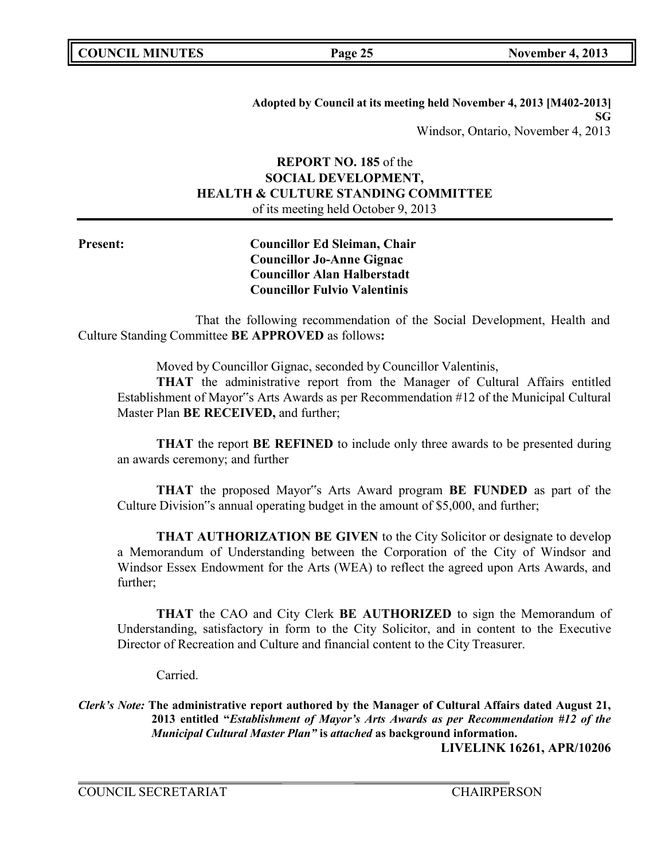**Adopted by Council at its meeting held November 4, 2013 [M402-2013] SG** Windsor, Ontario, November 4, 2013

## **REPORT NO. 185** of the **SOCIAL DEVELOPMENT, HEALTH & CULTURE STANDING COMMITTEE** of its meeting held October 9, 2013

**Present: Councillor Ed Sleiman, Chair Councillor Jo-Anne Gignac Councillor Alan Halberstadt Councillor Fulvio Valentinis**

That the following recommendation of the Social Development, Health and Culture Standing Committee **BE APPROVED** as follows**:**

Moved by Councillor Gignac, seconded by Councillor Valentinis,

**THAT** the administrative report from the Manager of Cultural Affairs entitled Establishment of Mayor"s Arts Awards as per Recommendation #12 of the Municipal Cultural Master Plan **BE RECEIVED,** and further;

**THAT** the report **BE REFINED** to include only three awards to be presented during an awards ceremony; and further

**THAT** the proposed Mayor"s Arts Award program **BE FUNDED** as part of the Culture Division"s annual operating budget in the amount of \$5,000, and further;

**THAT AUTHORIZATION BE GIVEN** to the City Solicitor or designate to develop a Memorandum of Understanding between the Corporation of the City of Windsor and Windsor Essex Endowment for the Arts (WEA) to reflect the agreed upon Arts Awards, and further;

**THAT** the CAO and City Clerk **BE AUTHORIZED** to sign the Memorandum of Understanding, satisfactory in form to the City Solicitor, and in content to the Executive Director of Recreation and Culture and financial content to the City Treasurer.

Carried.

*Clerk's Note:* **The administrative report authored by the Manager of Cultural Affairs dated August 21, 2013 entitled "***Establishment of Mayor's Arts Awards as per Recommendation #12 of the Municipal Cultural Master Plan"* **is** *attached* **as background information.**

**LIVELINK 16261, APR/10206**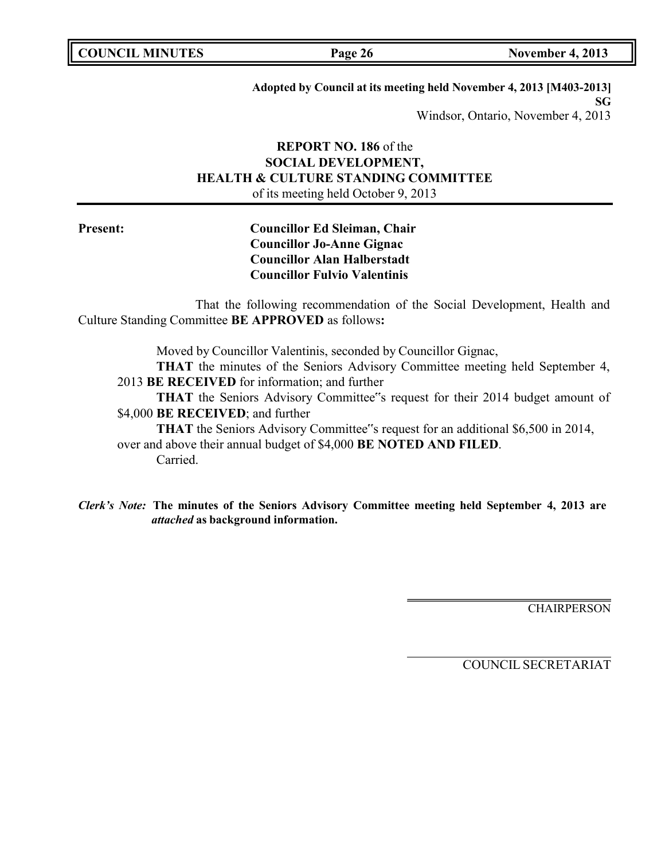**Adopted by Council at its meeting held November 4, 2013 [M403-2013] SG** Windsor, Ontario, November 4, 2013

## **REPORT NO. 186** of the **SOCIAL DEVELOPMENT, HEALTH & CULTURE STANDING COMMITTEE** of its meeting held October 9, 2013

**Present: Councillor Ed Sleiman, Chair Councillor Jo-Anne Gignac Councillor Alan Halberstadt Councillor Fulvio Valentinis**

That the following recommendation of the Social Development, Health and Culture Standing Committee **BE APPROVED** as follows**:**

Moved by Councillor Valentinis, seconded by Councillor Gignac,

**THAT** the minutes of the Seniors Advisory Committee meeting held September 4, 2013 **BE RECEIVED** for information; and further

**THAT** the Seniors Advisory Committee"s request for their 2014 budget amount of \$4,000 **BE RECEIVED**; and further

**THAT** the Seniors Advisory Committee"s request for an additional \$6,500 in 2014, over and above their annual budget of \$4,000 **BE NOTED AND FILED**. Carried.

*Clerk's Note:* **The minutes of the Seniors Advisory Committee meeting held September 4, 2013 are** *attached* **as background information.**

**CHAIRPERSON**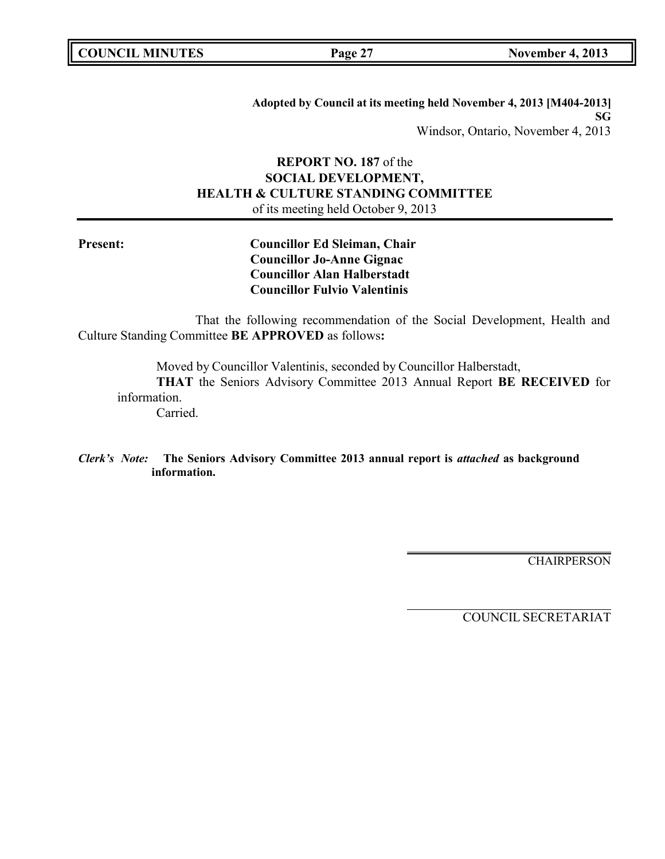| <b>COUNCIL MINUTES</b> |  |  |
|------------------------|--|--|
|------------------------|--|--|

**Adopted by Council at its meeting held November 4, 2013 [M404-2013] SG** Windsor, Ontario, November 4, 2013

## **REPORT NO. 187** of the **SOCIAL DEVELOPMENT, HEALTH & CULTURE STANDING COMMITTEE** of its meeting held October 9, 2013

**Present: Councillor Ed Sleiman, Chair Councillor Jo-Anne Gignac Councillor Alan Halberstadt Councillor Fulvio Valentinis**

That the following recommendation of the Social Development, Health and Culture Standing Committee **BE APPROVED** as follows**:**

Moved by Councillor Valentinis, seconded by Councillor Halberstadt,

**THAT** the Seniors Advisory Committee 2013 Annual Report **BE RECEIVED** for information.

Carried.

*Clerk's Note:* **The Seniors Advisory Committee 2013 annual report is** *attached* **as background information.**

**CHAIRPERSON**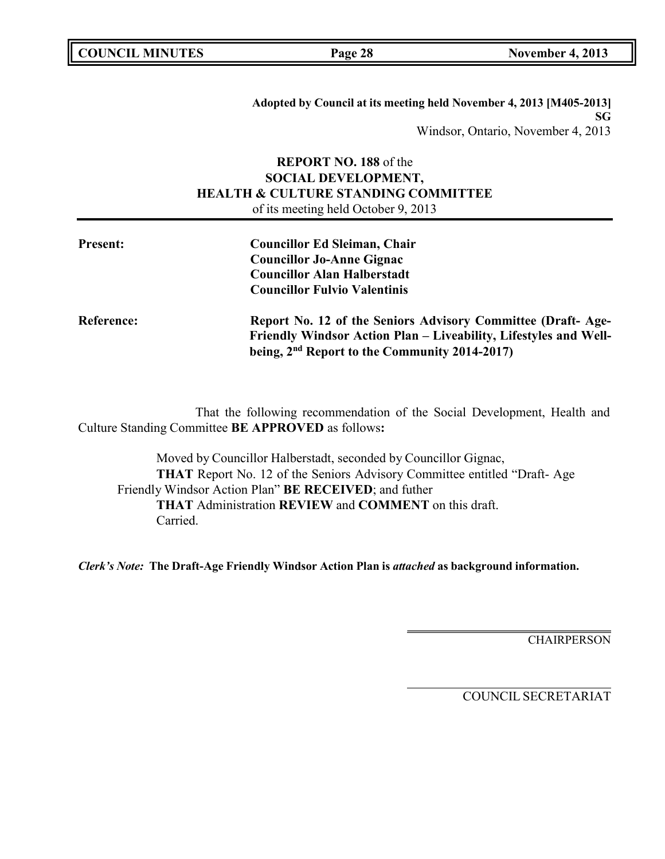**Adopted by Council at its meeting held November 4, 2013 [M405-2013] SG** Windsor, Ontario, November 4, 2013

## **REPORT NO. 188** of the **SOCIAL DEVELOPMENT, HEALTH & CULTURE STANDING COMMITTEE** of its meeting held October 9, 2013

| <b>Present:</b>   | <b>Councillor Ed Sleiman, Chair</b><br><b>Councillor Jo-Anne Gignac</b><br><b>Councillor Alan Halberstadt</b><br><b>Councillor Fulvio Valentinis</b>                                         |
|-------------------|----------------------------------------------------------------------------------------------------------------------------------------------------------------------------------------------|
| <b>Reference:</b> | Report No. 12 of the Seniors Advisory Committee (Draft-Age-<br>Friendly Windsor Action Plan – Liveability, Lifestyles and Well-<br>being, 2 <sup>nd</sup> Report to the Community 2014-2017) |

That the following recommendation of the Social Development, Health and Culture Standing Committee **BE APPROVED** as follows**:**

Moved by Councillor Halberstadt, seconded by Councillor Gignac, **THAT** Report No. 12 of the Seniors Advisory Committee entitled "Draft- Age Friendly Windsor Action Plan" **BE RECEIVED**; and futher **THAT** Administration **REVIEW** and **COMMENT** on this draft. Carried.

*Clerk's Note:* **The Draft-Age Friendly Windsor Action Plan is** *attached* **as background information.**

**CHAIRPERSON**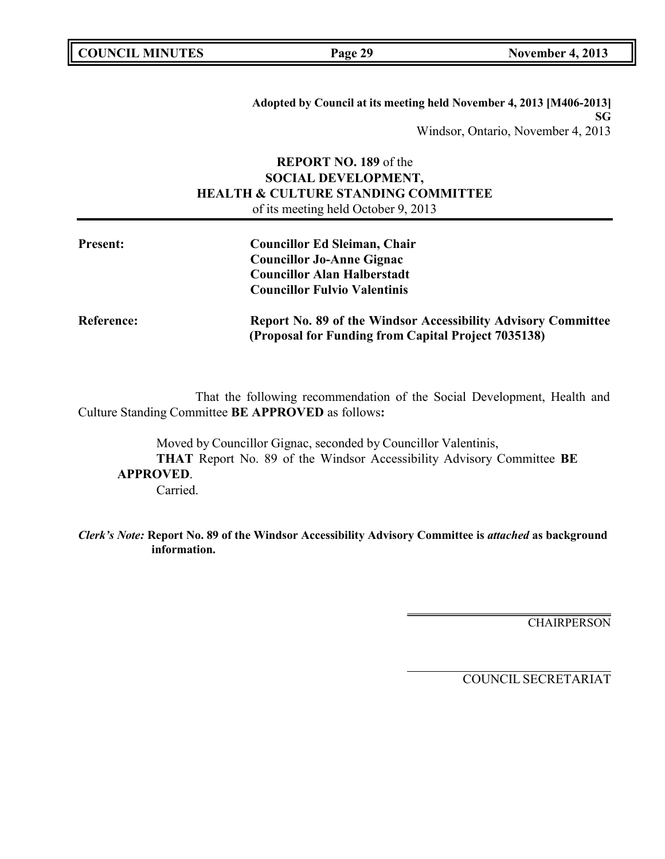|  | <b>COUNCIL MINUTES</b> |
|--|------------------------|
|--|------------------------|

**Adopted by Council at its meeting held November 4, 2013 [M406-2013] SG** Windsor, Ontario, November 4, 2013

## **REPORT NO. 189** of the **SOCIAL DEVELOPMENT, HEALTH & CULTURE STANDING COMMITTEE** of its meeting held October 9, 2013

| <b>Present:</b>   | <b>Councillor Ed Sleiman, Chair</b><br><b>Councillor Jo-Anne Gignac</b>                                              |
|-------------------|----------------------------------------------------------------------------------------------------------------------|
|                   | <b>Councillor Alan Halberstadt</b><br><b>Councillor Fulvio Valentinis</b>                                            |
| <b>Reference:</b> | Report No. 89 of the Windsor Accessibility Advisory Committee<br>(Proposal for Funding from Capital Project 7035138) |

That the following recommendation of the Social Development, Health and Culture Standing Committee **BE APPROVED** as follows**:**

Moved by Councillor Gignac, seconded by Councillor Valentinis, **THAT** Report No. 89 of the Windsor Accessibility Advisory Committee **BE APPROVED**. Carried.

*Clerk's Note:* **Report No. 89 of the Windsor Accessibility Advisory Committee is** *attached* **as background information.**

**CHAIRPERSON**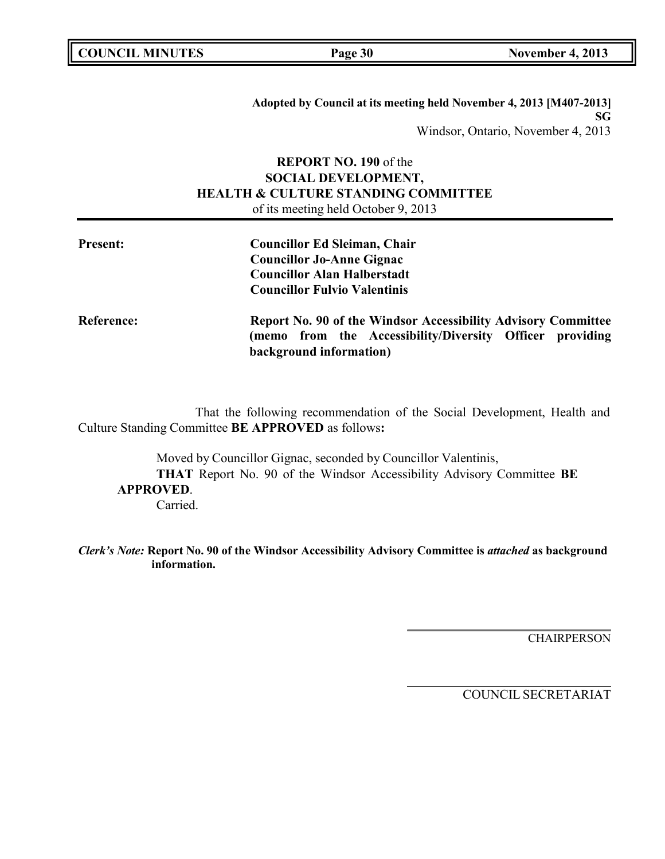| <b>COUNCIL MINUTES</b> |  |
|------------------------|--|
|------------------------|--|

**Adopted by Council at its meeting held November 4, 2013 [M407-2013] SG** Windsor, Ontario, November 4, 2013

## **REPORT NO. 190** of the **SOCIAL DEVELOPMENT, HEALTH & CULTURE STANDING COMMITTEE** of its meeting held October 9, 2013

| <b>Present:</b>   | <b>Councillor Ed Sleiman, Chair</b><br><b>Councillor Jo-Anne Gignac</b><br><b>Councillor Alan Halberstadt</b><br><b>Councillor Fulvio Valentinis</b> |
|-------------------|------------------------------------------------------------------------------------------------------------------------------------------------------|
| <b>Reference:</b> | Report No. 90 of the Windsor Accessibility Advisory Committee<br>(memo from the Accessibility/Diversity Officer providing<br>background information) |

That the following recommendation of the Social Development, Health and Culture Standing Committee **BE APPROVED** as follows**:**

Moved by Councillor Gignac, seconded by Councillor Valentinis, **THAT** Report No. 90 of the Windsor Accessibility Advisory Committee **BE APPROVED**. Carried.

*Clerk's Note:* **Report No. 90 of the Windsor Accessibility Advisory Committee is** *attached* **as background information.**

**CHAIRPERSON**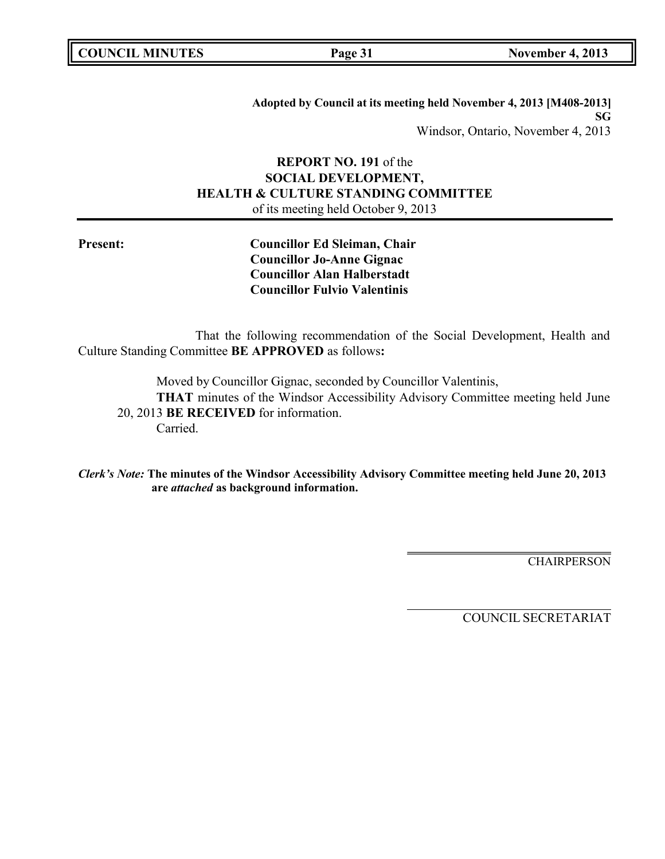| <b>COUNCIL MINUTES</b> |  |  |
|------------------------|--|--|
|------------------------|--|--|

**Adopted by Council at its meeting held November 4, 2013 [M408-2013] SG** Windsor, Ontario, November 4, 2013

## **REPORT NO. 191** of the **SOCIAL DEVELOPMENT, HEALTH & CULTURE STANDING COMMITTEE** of its meeting held October 9, 2013

**Present: Councillor Ed Sleiman, Chair Councillor Jo-Anne Gignac Councillor Alan Halberstadt Councillor Fulvio Valentinis**

That the following recommendation of the Social Development, Health and Culture Standing Committee **BE APPROVED** as follows**:**

Moved by Councillor Gignac, seconded by Councillor Valentinis,

**THAT** minutes of the Windsor Accessibility Advisory Committee meeting held June 20, 2013 **BE RECEIVED** for information. Carried.

*Clerk's Note:* **The minutes of the Windsor Accessibility Advisory Committee meeting held June 20, 2013 are** *attached* **as background information.**

**CHAIRPERSON**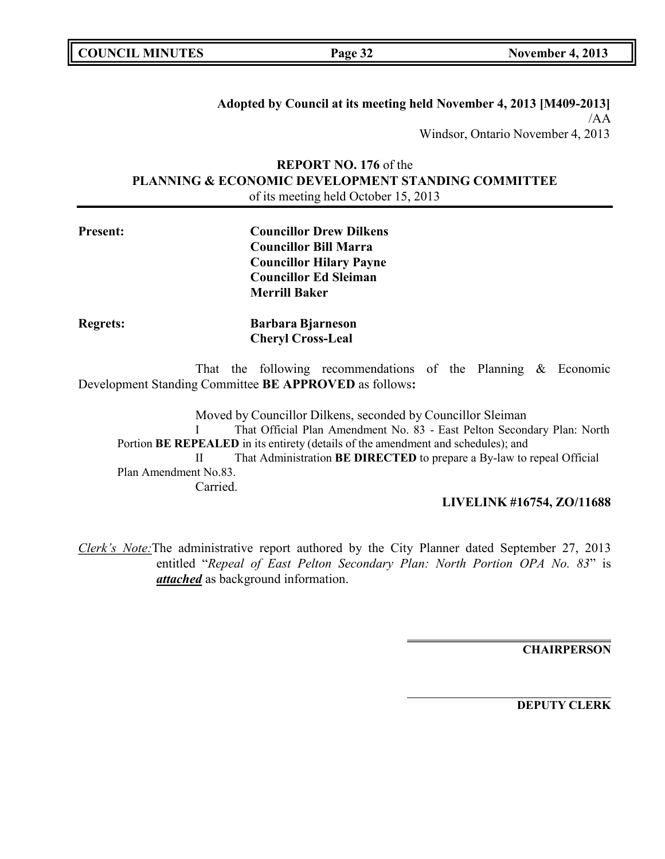| <b>COUNCIL MINUTES</b> |  |
|------------------------|--|
|------------------------|--|

**Adopted by Council at its meeting held November 4, 2013 [M409-2013]** /AA Windsor, Ontario November 4, 2013

## **REPORT NO. 176** of the **PLANNING & ECONOMIC DEVELOPMENT STANDING COMMITTEE** of its meeting held October 15, 2013

| <b>Present:</b> | <b>Councillor Drew Dilkens</b> |
|-----------------|--------------------------------|
|                 | <b>Councillor Bill Marra</b>   |
|                 | <b>Councillor Hilary Payne</b> |
|                 | <b>Councillor Ed Sleiman</b>   |
|                 | <b>Merrill Baker</b>           |
| <b>Regrets:</b> | <b>Barbara Bjarneson</b>       |
|                 | <b>Cheryl Cross-Leal</b>       |

That the following recommendations of the Planning & Economic Development Standing Committee **BE APPROVED** as follows**:**

Moved by Councillor Dilkens, seconded by Councillor Sleiman I That Official Plan Amendment No. 83 - East Pelton Secondary Plan: North Portion **BE REPEALED** in its entirety (details of the amendment and schedules); and II That Administration **BE DIRECTED** to prepare a By-law to repeal Official Plan Amendment No.83. Carried.

## **LIVELINK #16754, ZO/11688**

*Clerk's Note:*The administrative report authored by the City Planner dated September 27, 2013 entitled "*Repeal of East Pelton Secondary Plan: North Portion OPA No. 83*" is *attached* as background information.

**CHAIRPERSON**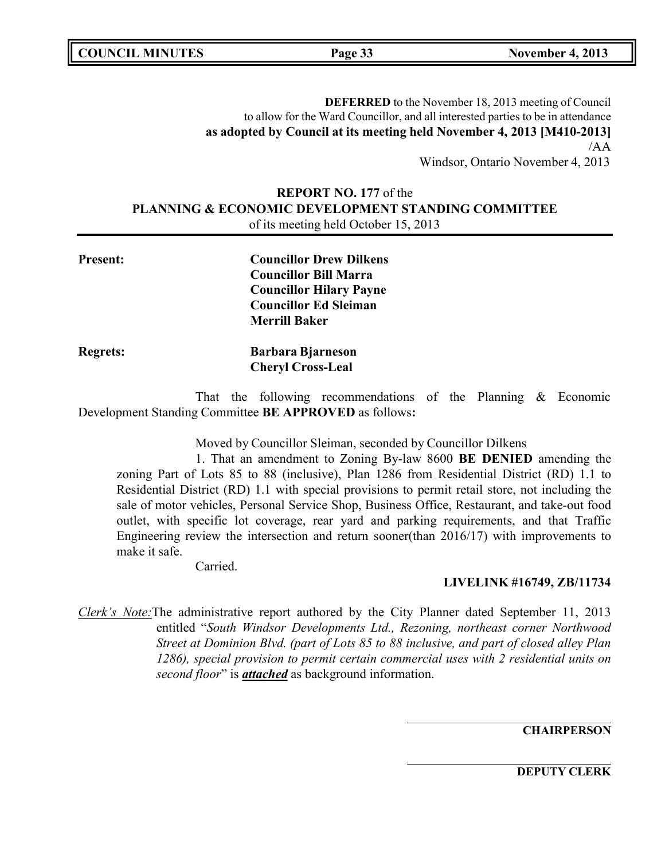**COUNCIL MINUTES Page 33 November 4, 2013**

**DEFERRED** to the November 18, 2013 meeting of Council to allow for the Ward Councillor, and all interested parties to be in attendance **as adopted by Council at its meeting held November 4, 2013 [M410-2013]** /AA

Windsor, Ontario November 4, 2013

## **REPORT NO. 177** of the **PLANNING & ECONOMIC DEVELOPMENT STANDING COMMITTEE** of its meeting held October 15, 2013

**Present: Councillor Drew Dilkens Councillor Bill Marra Councillor Hilary Payne Councillor Ed Sleiman Merrill Baker Regrets: Barbara Bjarneson Cheryl Cross-Leal**

That the following recommendations of the Planning & Economic Development Standing Committee **BE APPROVED** as follows**:**

Moved by Councillor Sleiman, seconded by Councillor Dilkens

1. That an amendment to Zoning By-law 8600 **BE DENIED** amending the zoning Part of Lots 85 to 88 (inclusive), Plan 1286 from Residential District (RD) 1.1 to Residential District (RD) 1.1 with special provisions to permit retail store, not including the sale of motor vehicles, Personal Service Shop, Business Office, Restaurant, and take-out food outlet, with specific lot coverage, rear yard and parking requirements, and that Traffic Engineering review the intersection and return sooner(than 2016/17) with improvements to make it safe.

Carried.

**LIVELINK #16749, ZB/11734**

*Clerk's Note:*The administrative report authored by the City Planner dated September 11, 2013 entitled "*South Windsor Developments Ltd., Rezoning, northeast corner Northwood Street at Dominion Blvd. (part of Lots 85 to 88 inclusive, and part of closed alley Plan 1286), special provision to permit certain commercial uses with 2 residential units on second floor*" is *attached* as background information.

**CHAIRPERSON**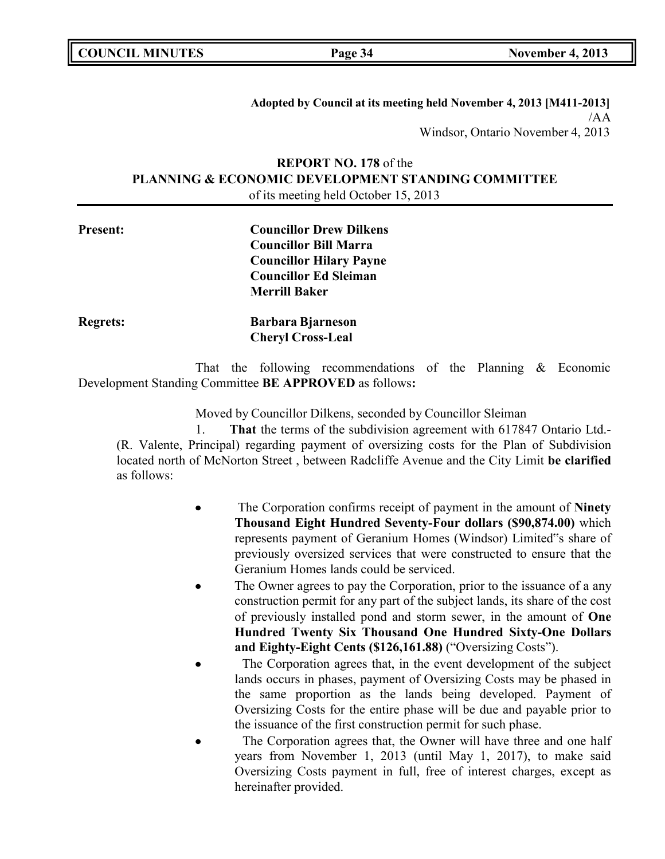**COUNCIL MINUTES Page 34 November 4, 2013**

**Adopted by Council at its meeting held November 4, 2013 [M411-2013]** /AA Windsor, Ontario November 4, 2013

## **REPORT NO. 178** of the **PLANNING & ECONOMIC DEVELOPMENT STANDING COMMITTEE** of its meeting held October 15, 2013

| <b>Present:</b> | <b>Councillor Drew Dilkens</b> |
|-----------------|--------------------------------|
|                 | <b>Councillor Bill Marra</b>   |
|                 | <b>Councillor Hilary Payne</b> |
|                 | <b>Councillor Ed Sleiman</b>   |
|                 | <b>Merrill Baker</b>           |
| <b>Regrets:</b> | <b>Barbara Bjarneson</b>       |
|                 | <b>Cheryl Cross-Leal</b>       |
|                 |                                |

That the following recommendations of the Planning & Economic Development Standing Committee **BE APPROVED** as follows**:**

Moved by Councillor Dilkens, seconded by Councillor Sleiman

1. **That** the terms of the subdivision agreement with 617847 Ontario Ltd.- (R. Valente, Principal) regarding payment of oversizing costs for the Plan of Subdivision located north of McNorton Street , between Radcliffe Avenue and the City Limit **be clarified** as follows:

- The Corporation confirms receipt of payment in the amount of **Ninety Thousand Eight Hundred Seventy-Four dollars (\$90,874.00)** which represents payment of Geranium Homes (Windsor) Limited"s share of previously oversized services that were constructed to ensure that the Geranium Homes lands could be serviced.
- The Owner agrees to pay the Corporation, prior to the issuance of a any construction permit for any part of the subject lands, its share of the cost of previously installed pond and storm sewer, in the amount of **One Hundred Twenty Six Thousand One Hundred Sixty-One Dollars and Eighty-Eight Cents (\$126,161.88)** ("Oversizing Costs").
- The Corporation agrees that, in the event development of the subject lands occurs in phases, payment of Oversizing Costs may be phased in the same proportion as the lands being developed. Payment of Oversizing Costs for the entire phase will be due and payable prior to the issuance of the first construction permit for such phase.
- The Corporation agrees that, the Owner will have three and one half years from November 1, 2013 (until May 1, 2017), to make said Oversizing Costs payment in full, free of interest charges, except as hereinafter provided.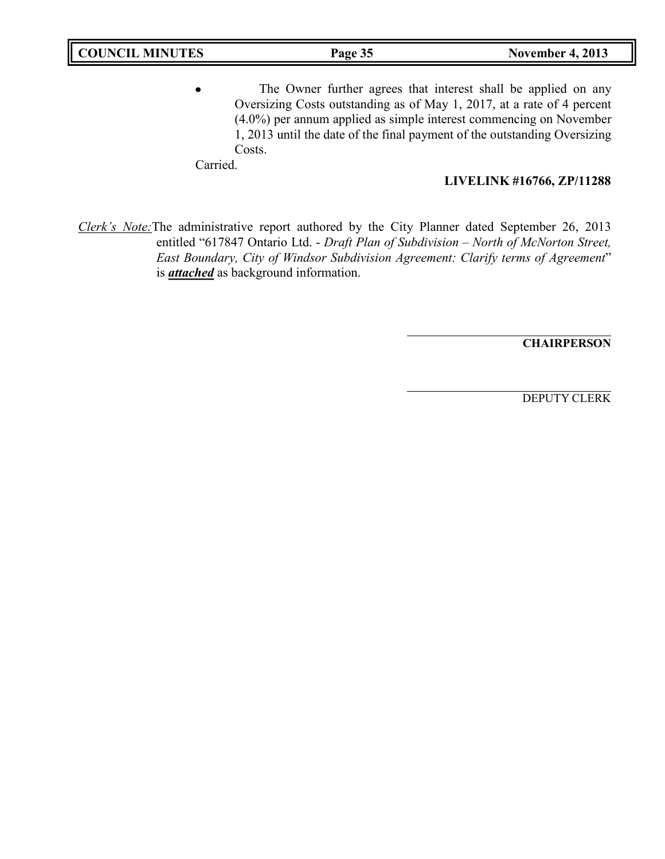The Owner further agrees that interest shall be applied on any Oversizing Costs outstanding as of May 1, 2017, at a rate of 4 percent (4.0%) per annum applied as simple interest commencing on November 1, 2013 until the date of the final payment of the outstanding Oversizing Costs.

Carried.

### **LIVELINK #16766, ZP/11288**

*Clerk's Note:*The administrative report authored by the City Planner dated September 26, 2013 entitled "617847 Ontario Ltd. - *Draft Plan of Subdivision – North of McNorton Street, East Boundary, City of Windsor Subdivision Agreement: Clarify terms of Agreement*" is *attached* as background information.

**CHAIRPERSON**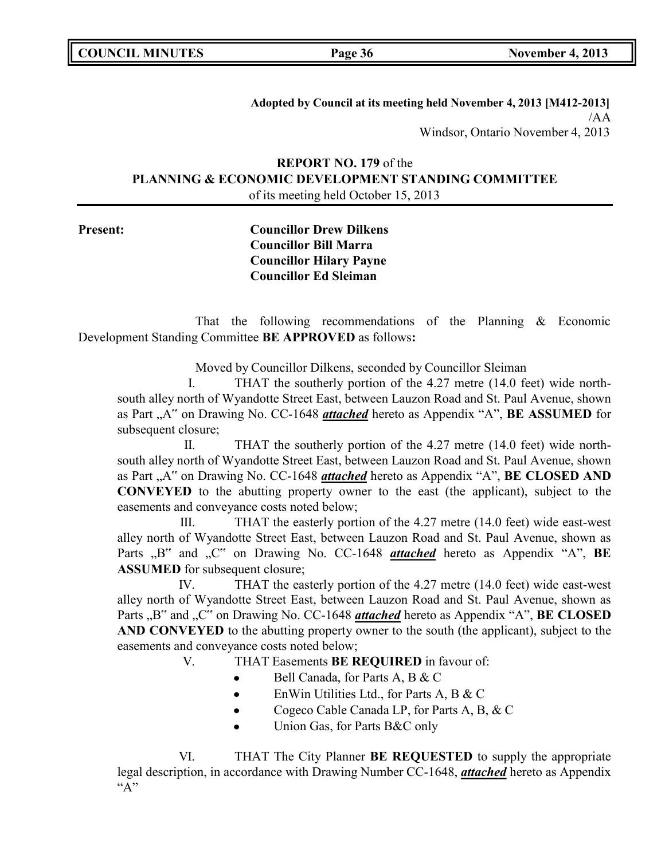**COUNCIL MINUTES Page 36 November 4, 2013**

**Adopted by Council at its meeting held November 4, 2013 [M412-2013]** /AA Windsor, Ontario November 4, 2013

## **REPORT NO. 179** of the **PLANNING & ECONOMIC DEVELOPMENT STANDING COMMITTEE** of its meeting held October 15, 2013

**Present: Councillor Drew Dilkens Councillor Bill Marra Councillor Hilary Payne Councillor Ed Sleiman**

That the following recommendations of the Planning & Economic Development Standing Committee **BE APPROVED** as follows**:**

Moved by Councillor Dilkens, seconded by Councillor Sleiman

I. THAT the southerly portion of the 4.27 metre (14.0 feet) wide northsouth alley north of Wyandotte Street East, between Lauzon Road and St. Paul Avenue, shown as Part <sub>n</sub>A" on Drawing No. CC-1648 *attached* hereto as Appendix "A", **BE ASSUMED** for subsequent closure;

II. THAT the southerly portion of the 4.27 metre (14.0 feet) wide northsouth alley north of Wyandotte Street East, between Lauzon Road and St. Paul Avenue, shown as Part "A" on Drawing No. CC-1648 *attached* hereto as Appendix "A", **BE CLOSED AND CONVEYED** to the abutting property owner to the east (the applicant), subject to the easements and conveyance costs noted below;

III. THAT the easterly portion of the 4.27 metre (14.0 feet) wide east-west alley north of Wyandotte Street East, between Lauzon Road and St. Paul Avenue, shown as Parts "B" and "C" on Drawing No. CC-1648 *attached* hereto as Appendix "A", **BE ASSUMED** for subsequent closure;

IV. THAT the easterly portion of the 4.27 metre (14.0 feet) wide east-west alley north of Wyandotte Street East, between Lauzon Road and St. Paul Avenue, shown as Parts "B" and "C" on Drawing No. CC-1648 *attached* hereto as Appendix "A", BE CLOSED **AND CONVEYED** to the abutting property owner to the south (the applicant), subject to the easements and conveyance costs noted below;

V. THAT Easements **BE REQUIRED** in favour of:

- Bell Canada, for Parts A, B & C  $\bullet$
- EnWin Utilities Ltd., for Parts A, B & C  $\bullet$
- Cogeco Cable Canada LP, for Parts A, B, & C  $\bullet$
- $\bullet$ Union Gas, for Parts B&C only

VI. THAT The City Planner **BE REQUESTED** to supply the appropriate legal description, in accordance with Drawing Number CC-1648, *attached* hereto as Appendix  $``A"$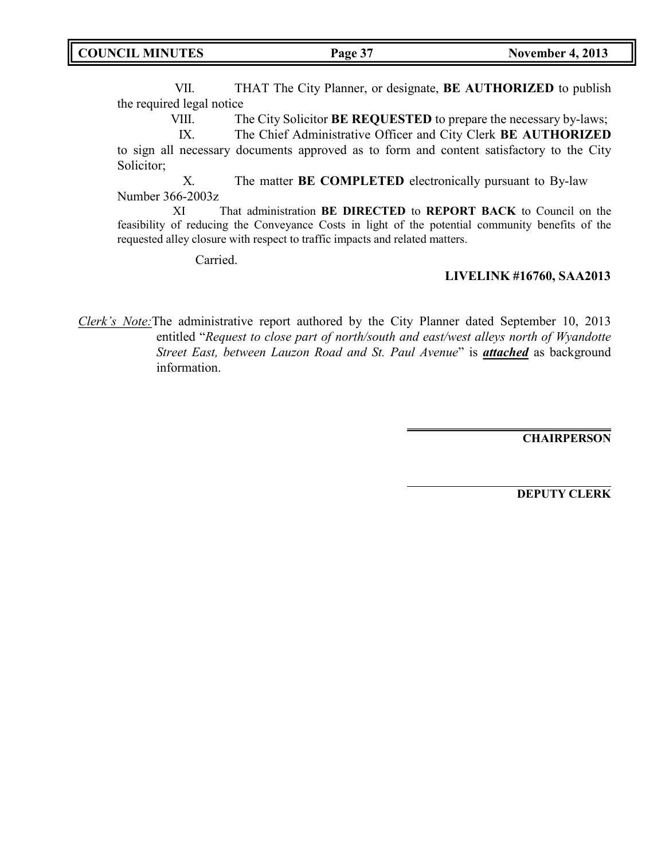VII. THAT The City Planner, or designate, **BE AUTHORIZED** to publish the required legal notice

VIII. The City Solicitor **BE REQUESTED** to prepare the necessary by-laws;

IX. The Chief Administrative Officer and City Clerk **BE AUTHORIZED** to sign all necessary documents approved as to form and content satisfactory to the City Solicitor;

X. The matter **BE COMPLETED** electronically pursuant to By-law Number 366-2003z

XI That administration **BE DIRECTED** to **REPORT BACK** to Council on the feasibility of reducing the Conveyance Costs in light of the potential community benefits of the requested alley closure with respect to traffic impacts and related matters.

Carried.

### **LIVELINK #16760, SAA2013**

*Clerk's Note:*The administrative report authored by the City Planner dated September 10, 2013 entitled "*Request to close part of north/south and east/west alleys north of Wyandotte Street East, between Lauzon Road and St. Paul Avenue*" is *attached* as background information.

**CHAIRPERSON**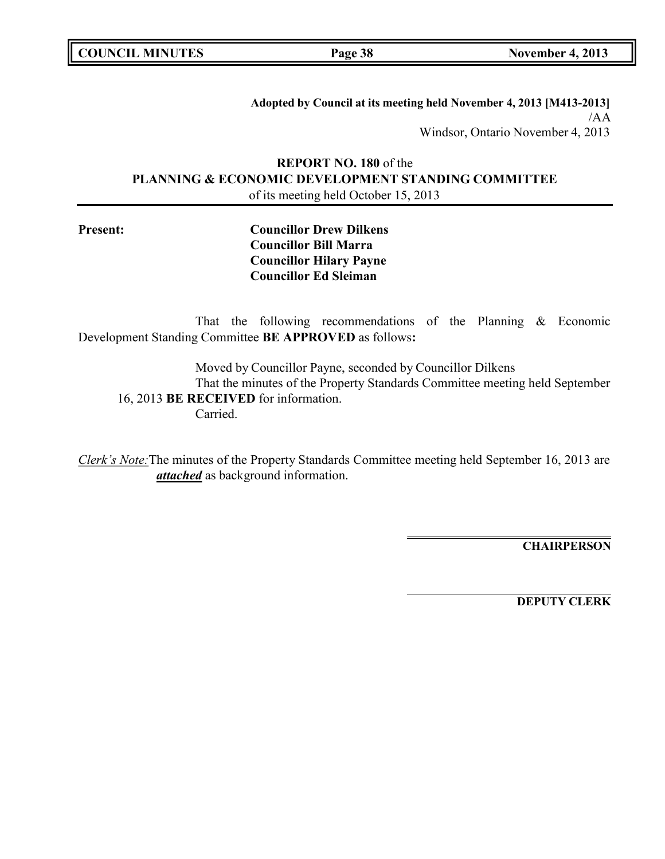**COUNCIL MINUTES Page 38 November 4, 2013**

**Adopted by Council at its meeting held November 4, 2013 [M413-2013]** /AA Windsor, Ontario November 4, 2013

**REPORT NO. 180** of the **PLANNING & ECONOMIC DEVELOPMENT STANDING COMMITTEE** of its meeting held October 15, 2013

**Present: Councillor Drew Dilkens Councillor Bill Marra Councillor Hilary Payne Councillor Ed Sleiman**

That the following recommendations of the Planning & Economic Development Standing Committee **BE APPROVED** as follows**:**

Moved by Councillor Payne, seconded by Councillor Dilkens That the minutes of the Property Standards Committee meeting held September 16, 2013 **BE RECEIVED** for information. Carried.

*Clerk's Note:*The minutes of the Property Standards Committee meeting held September 16, 2013 are *attached* as background information.

**CHAIRPERSON**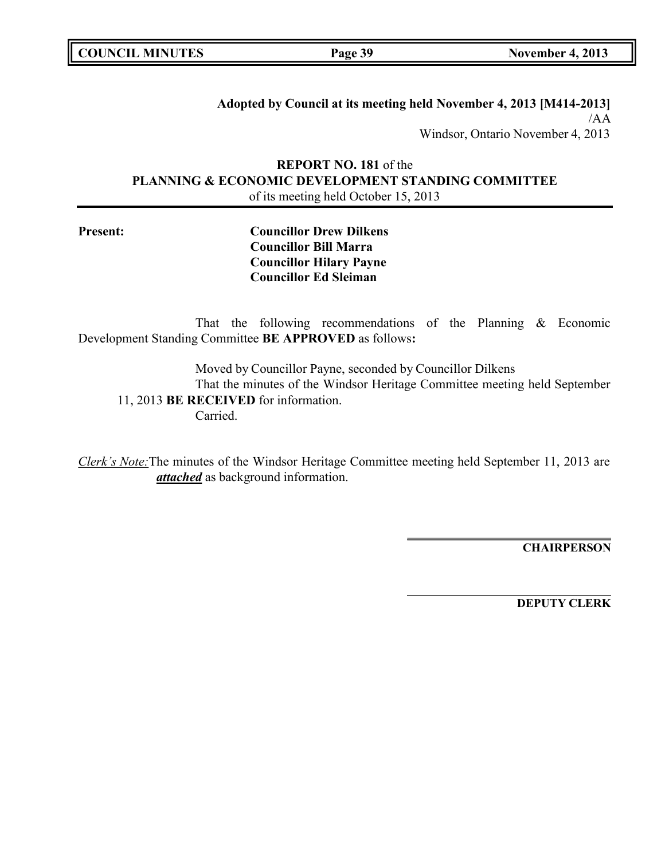**COUNCIL MINUTES Page 39 November 4, 2013**

**Adopted by Council at its meeting held November 4, 2013 [M414-2013]** /AA Windsor, Ontario November 4, 2013

## **REPORT NO. 181** of the **PLANNING & ECONOMIC DEVELOPMENT STANDING COMMITTEE** of its meeting held October 15, 2013

**Present: Councillor Drew Dilkens Councillor Bill Marra Councillor Hilary Payne Councillor Ed Sleiman**

That the following recommendations of the Planning & Economic Development Standing Committee **BE APPROVED** as follows**:**

Moved by Councillor Payne, seconded by Councillor Dilkens That the minutes of the Windsor Heritage Committee meeting held September 11, 2013 **BE RECEIVED** for information. Carried.

*Clerk's Note:*The minutes of the Windsor Heritage Committee meeting held September 11, 2013 are *attached* as background information.

**CHAIRPERSON**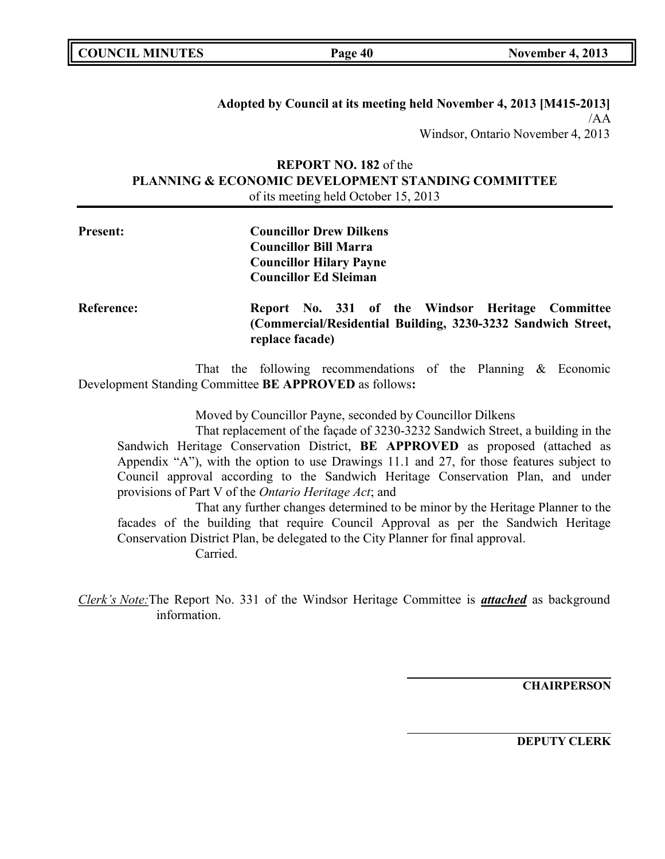| <b>COUNCIL MINUTES</b> |  |
|------------------------|--|
|------------------------|--|

**Adopted by Council at its meeting held November 4, 2013 [M415-2013]** /AA Windsor, Ontario November 4, 2013

## **REPORT NO. 182** of the **PLANNING & ECONOMIC DEVELOPMENT STANDING COMMITTEE** of its meeting held October 15, 2013

| <b>Present:</b>   | <b>Councillor Drew Dilkens</b><br><b>Councillor Bill Marra</b><br><b>Councillor Hilary Payne</b><br><b>Councillor Ed Sleiman</b>    |  |
|-------------------|-------------------------------------------------------------------------------------------------------------------------------------|--|
| <b>Reference:</b> | Report No. 331 of the Windsor Heritage Committee<br>(Commercial/Residential Building, 3230-3232 Sandwich Street,<br>replace facade) |  |

That the following recommendations of the Planning & Economic Development Standing Committee **BE APPROVED** as follows**:**

Moved by Councillor Payne, seconded by Councillor Dilkens

That replacement of the façade of 3230-3232 Sandwich Street, a building in the Sandwich Heritage Conservation District, **BE APPROVED** as proposed (attached as Appendix "A"), with the option to use Drawings 11.1 and 27, for those features subject to Council approval according to the Sandwich Heritage Conservation Plan, and under provisions of Part V of the *Ontario Heritage Act*; and

That any further changes determined to be minor by the Heritage Planner to the facades of the building that require Council Approval as per the Sandwich Heritage Conservation District Plan, be delegated to the City Planner for final approval.

Carried.

*Clerk's Note:*The Report No. 331 of the Windsor Heritage Committee is *attached* as background information.

**CHAIRPERSON**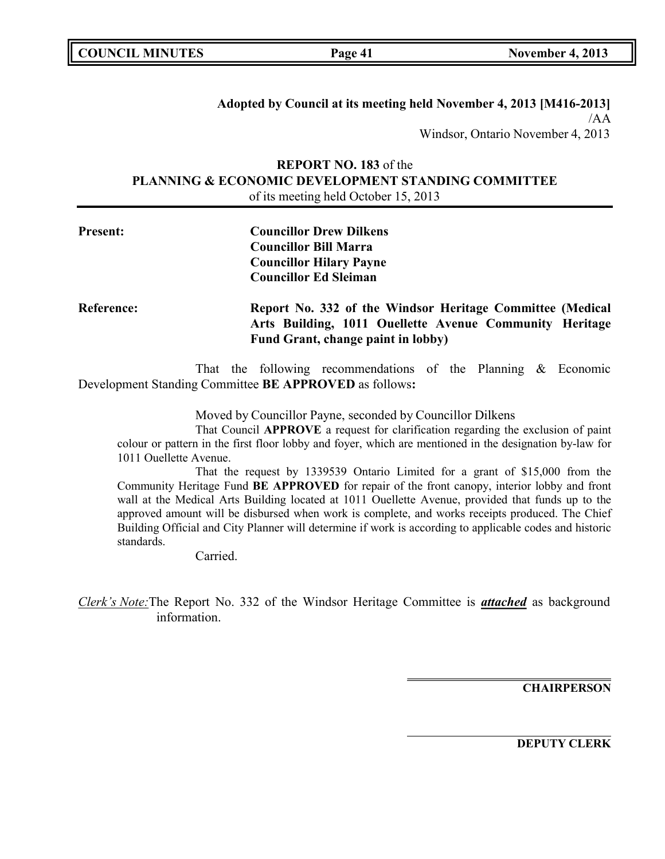| <b>COUNCIL MINUTES</b> |  |
|------------------------|--|
|------------------------|--|

**Adopted by Council at its meeting held November 4, 2013 [M416-2013]** /AA Windsor, Ontario November 4, 2013

## **REPORT NO. 183** of the **PLANNING & ECONOMIC DEVELOPMENT STANDING COMMITTEE** of its meeting held October 15, 2013

| <b>Present:</b>   | <b>Councillor Drew Dilkens</b><br><b>Councillor Bill Marra</b><br><b>Councillor Hilary Payne</b><br><b>Councillor Ed Sleiman</b>                           |
|-------------------|------------------------------------------------------------------------------------------------------------------------------------------------------------|
| <b>Reference:</b> | Report No. 332 of the Windsor Heritage Committee (Medical<br>Arts Building, 1011 Ouellette Avenue Community Heritage<br>Fund Grant, change paint in lobby) |

That the following recommendations of the Planning & Economic Development Standing Committee **BE APPROVED** as follows**:**

Moved by Councillor Payne, seconded by Councillor Dilkens

That Council **APPROVE** a request for clarification regarding the exclusion of paint colour or pattern in the first floor lobby and foyer, which are mentioned in the designation by-law for 1011 Ouellette Avenue.

That the request by 1339539 Ontario Limited for a grant of \$15,000 from the Community Heritage Fund **BE APPROVED** for repair of the front canopy, interior lobby and front wall at the Medical Arts Building located at 1011 Ouellette Avenue, provided that funds up to the approved amount will be disbursed when work is complete, and works receipts produced. The Chief Building Official and City Planner will determine if work is according to applicable codes and historic standards.

Carried.

*Clerk's Note:*The Report No. 332 of the Windsor Heritage Committee is *attached* as background information.

**CHAIRPERSON**